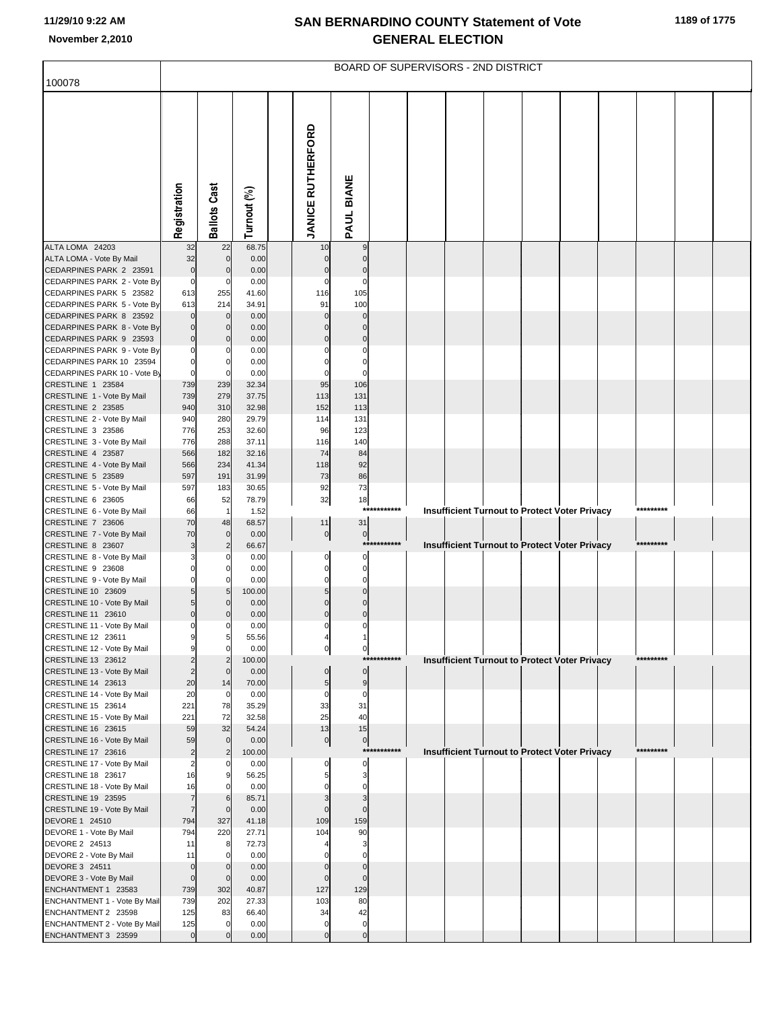|                                                        |                                  |                               |                |                               |                               |             | BOARD OF SUPERVISORS - 2ND DISTRICT |  |                                                      |           |  |
|--------------------------------------------------------|----------------------------------|-------------------------------|----------------|-------------------------------|-------------------------------|-------------|-------------------------------------|--|------------------------------------------------------|-----------|--|
| 100078                                                 |                                  |                               |                |                               |                               |             |                                     |  |                                                      |           |  |
|                                                        | Registration                     | <b>Ballots Cast</b>           | Turnout (%)    | <b>JANICE RUTHERFORD</b>      | PAUL BIANE                    |             |                                     |  |                                                      |           |  |
| ALTA LOMA 24203                                        | 32                               | 22                            | 68.75          | 10                            | 9                             |             |                                     |  |                                                      |           |  |
| ALTA LOMA - Vote By Mail<br>CEDARPINES PARK 2 23591    | 32<br>$\bf 0$                    | $\mathbf 0$<br>$\mathcal{C}$  | 0.00<br>0.00   | $\pmb{0}$<br>$\pmb{0}$        | $\mathbf 0$<br>$\mathbf 0$    |             |                                     |  |                                                      |           |  |
| CEDARPINES PARK 2 - Vote By                            | $\mathbf 0$                      | C                             | 0.00           | $\mathbf 0$                   | $\mathbf 0$                   |             |                                     |  |                                                      |           |  |
| CEDARPINES PARK 5 23582                                | 613                              | 255                           | 41.60          | 116                           | 105                           |             |                                     |  |                                                      |           |  |
| CEDARPINES PARK 5 - Vote By                            | 613                              | 214                           | 34.91          | 91                            | 100                           |             |                                     |  |                                                      |           |  |
| CEDARPINES PARK 8 23592                                | $\overline{0}$                   | $\mathbf 0$                   | 0.00           | $\mathbf 0$                   | $\mathbf 0$                   |             |                                     |  |                                                      |           |  |
| CEDARPINES PARK 8 - Vote By<br>CEDARPINES PARK 9 23593 | $\mathbf 0$<br>$\overline{0}$    | C                             | 0.00<br>0.00   | $\mathbf 0$<br>$\pmb{0}$      | $\mathbf 0$<br>$\bf 0$        |             |                                     |  |                                                      |           |  |
| CEDARPINES PARK 9 - Vote By                            | 0                                |                               | 0.00           | 0                             | $\mathbf 0$                   |             |                                     |  |                                                      |           |  |
| CEDARPINES PARK 10 23594                               | $\overline{0}$                   | C                             | 0.00           | $\mathbf 0$                   | $\overline{0}$                |             |                                     |  |                                                      |           |  |
| CEDARPINES PARK 10 - Vote By                           | $\mathbf 0$                      | C                             | 0.00           | $\mathbf 0$                   | $\Omega$                      |             |                                     |  |                                                      |           |  |
| CRESTLINE 1 23584                                      | 739                              | 239                           | 32.34          | 95                            | 106                           |             |                                     |  |                                                      |           |  |
| CRESTLINE 1 - Vote By Mail<br>CRESTLINE 2 23585        | 739<br>940                       | 279<br>310                    | 37.75<br>32.98 | 113<br>152                    | 131<br>113                    |             |                                     |  |                                                      |           |  |
| CRESTLINE 2 - Vote By Mail                             | 940                              | 280                           | 29.79          | 114                           | 131                           |             |                                     |  |                                                      |           |  |
| CRESTLINE 3 23586                                      | 776                              | 253                           | 32.60          | 96                            | 123                           |             |                                     |  |                                                      |           |  |
| CRESTLINE 3 - Vote By Mail                             | 776                              | 288                           | 37.11          | 116                           | 140                           |             |                                     |  |                                                      |           |  |
| CRESTLINE 4 23587                                      | 566                              | 182                           | 32.16          | 74                            | 84                            |             |                                     |  |                                                      |           |  |
| CRESTLINE 4 - Vote By Mail<br>CRESTLINE 5 23589        | 566<br>597                       | 234<br>191                    | 41.34<br>31.99 | 118<br>73                     | 92<br>86                      |             |                                     |  |                                                      |           |  |
| CRESTLINE 5 - Vote By Mail                             | 597                              | 183                           | 30.65          | 92                            | 73                            |             |                                     |  |                                                      |           |  |
| CRESTLINE 6 23605                                      | 66                               | 52                            | 78.79          | 32                            | 18                            |             |                                     |  |                                                      |           |  |
| CRESTLINE 6 - Vote By Mail                             | 66                               | $\mathbf{1}$                  | 1.52           |                               | ***                           | ******      |                                     |  | <b>Insufficient Turnout to Protect Voter Privacy</b> |           |  |
| CRESTLINE 7 23606<br>CRESTLINE 7 - Vote By Mail        | 70<br>70                         | 48<br>$\mathbf 0$             | 68.57<br>0.00  | 11<br>$\overline{0}$          | 31<br>$\mathbf 0$             |             |                                     |  |                                                      |           |  |
| CRESTLINE 8 23607                                      | 3                                | 2                             | 66.67          |                               | ***                           | *******     |                                     |  | <b>Insufficient Turnout to Protect Voter Privacy</b> | ********* |  |
| CRESTLINE 8 - Vote By Mail                             | 3                                | C                             | 0.00           | $\pmb{0}$                     | $\mathbf 0$                   |             |                                     |  |                                                      |           |  |
| CRESTLINE 9 23608                                      | $\mathbf 0$                      |                               | 0.00           | $\overline{0}$                | $\bf{0}$                      |             |                                     |  |                                                      |           |  |
| CRESTLINE 9 - Vote By Mail                             | 0                                |                               | 0.00           | $\mathbf 0$<br>$\overline{5}$ | $\mathbf 0$<br>$\overline{0}$ |             |                                     |  |                                                      |           |  |
| CRESTLINE 10 23609<br>CRESTLINE 10 - Vote By Mail      | 5 <sub>l</sub><br>5 <sub>l</sub> | 5<br>C                        | 100.00<br>0.00 | $\mathbf 0$                   | $\mathbf 0$                   |             |                                     |  |                                                      |           |  |
| CRESTLINE 11 23610                                     | $\overline{0}$                   |                               | 0.00           | $\pmb{0}$                     | $\mathbf 0$                   |             |                                     |  |                                                      |           |  |
| CRESTLINE 11 - Vote By Mail                            | 0                                | C                             | 0.00           | $\pmb{0}$                     | 0                             |             |                                     |  |                                                      |           |  |
| CRESTLINE 12 23611                                     | 9                                | 5                             | 55.56          | $4 \vert$                     |                               |             |                                     |  |                                                      |           |  |
| CRESTLINE 12 - Vote By Mail<br>CRESTLINE 13 23612      | $\overline{9}$<br>$\overline{2}$ | $\mathbf 0$<br>$\overline{2}$ | 0.00<br>100.00 | $\overline{0}$                | $\mathbf{0}$<br>$***$         | ********    |                                     |  | <b>Insufficient Turnout to Protect Voter Privacy</b> | ********* |  |
| CRESTLINE 13 - Vote By Mail                            | $\overline{2}$                   | $\mathbf 0$                   | 0.00           | $\overline{0}$                | $\pmb{0}$                     |             |                                     |  |                                                      |           |  |
| CRESTLINE 14 23613                                     | 20                               | 14                            | 70.00          | 5                             | 9                             |             |                                     |  |                                                      |           |  |
| CRESTLINE 14 - Vote By Mail                            | 20                               | $\mathbf 0$                   | 0.00           | $\pmb{0}$                     | $\mathbf 0$                   |             |                                     |  |                                                      |           |  |
| CRESTLINE 15 23614<br>CRESTLINE 15 - Vote By Mail      | 221<br>221                       | 78<br>72                      | 35.29<br>32.58 | 33<br>25                      | 31<br>40                      |             |                                     |  |                                                      |           |  |
| CRESTLINE 16 23615                                     | 59                               | 32                            | 54.24          | 13                            | 15                            |             |                                     |  |                                                      |           |  |
| CRESTLINE 16 - Vote By Mail                            | 59                               | $\mathbf 0$                   | 0.00           | $\overline{0}$                | $\mathbf 0$                   |             |                                     |  |                                                      |           |  |
| CRESTLINE 17 23616                                     | $\overline{2}$                   | $\overline{2}$                | 100.00         |                               |                               | *********** |                                     |  | <b>Insufficient Turnout to Protect Voter Privacy</b> | ********* |  |
| CRESTLINE 17 - Vote By Mail<br>CRESTLINE 18 23617      | $\overline{2}$                   | C                             | 0.00           | $\pmb{0}$                     | 0                             |             |                                     |  |                                                      |           |  |
| CRESTLINE 18 - Vote By Mail                            | 16<br>16                         | $\Omega$                      | 56.25<br>0.00  | 5 <sub>5</sub><br>$\mathbf 0$ | 3<br>$\mathbf 0$              |             |                                     |  |                                                      |           |  |
| CRESTLINE 19 23595                                     | $\overline{7}$                   | 6                             | 85.71          | $\mathsf 3$                   | 3                             |             |                                     |  |                                                      |           |  |
| CRESTLINE 19 - Vote By Mail                            | 7                                | $\mathbf 0$                   | 0.00           | $\mathbf 0$                   | $\mathbf 0$                   |             |                                     |  |                                                      |           |  |
| DEVORE 1 24510                                         | 794                              | 327                           | 41.18          | 109                           | 159                           |             |                                     |  |                                                      |           |  |
| DEVORE 1 - Vote By Mail<br>DEVORE 2 24513              | 794<br>11                        | 220<br>8                      | 27.71<br>72.73 | 104<br>$\overline{4}$         | 90<br>3                       |             |                                     |  |                                                      |           |  |
| DEVORE 2 - Vote By Mail                                | 11                               | 0                             | 0.00           | $\Omega$                      | $\mathbf 0$                   |             |                                     |  |                                                      |           |  |
| DEVORE 3 24511                                         | $\overline{0}$                   | $\Omega$                      | 0.00           | $\mathbf 0$                   | $\mathbf 0$                   |             |                                     |  |                                                      |           |  |
| DEVORE 3 - Vote By Mail                                | $\overline{0}$                   | $\mathbf 0$                   | 0.00           | $\mathbf 0$                   | $\mathbf 0$                   |             |                                     |  |                                                      |           |  |
| ENCHANTMENT 1 23583                                    | 739                              | 302                           | 40.87          | 127                           | 129                           |             |                                     |  |                                                      |           |  |
| ENCHANTMENT 1 - Vote By Mail<br>ENCHANTMENT 2 23598    | 739<br>125                       | 202<br>83                     | 27.33<br>66.40 | 103<br>34                     | 80<br>42                      |             |                                     |  |                                                      |           |  |
| ENCHANTMENT 2 - Vote By Mail                           | 125                              | $\Omega$                      | 0.00           | $\mathbf 0$                   | $\bf{0}$                      |             |                                     |  |                                                      |           |  |
| ENCHANTMENT 3 23599                                    | $\overline{0}$                   | $\sqrt{ }$                    | 0.00           | $\mathbf 0$                   | $\mathbf 0$                   |             |                                     |  |                                                      |           |  |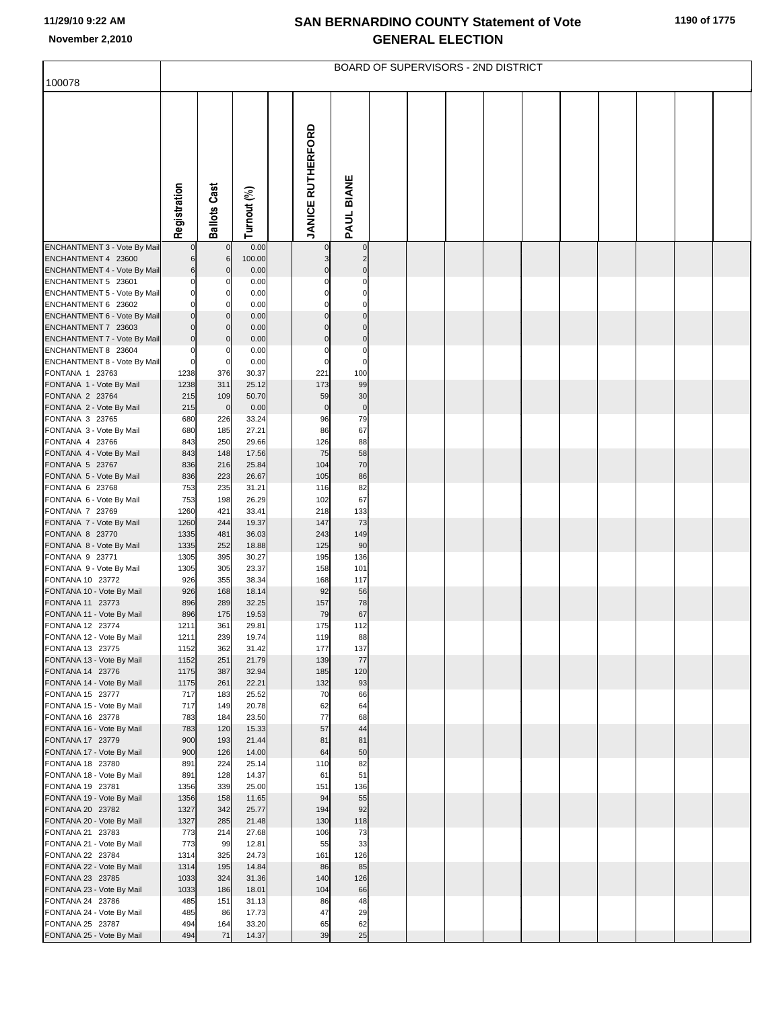|                                                     |                         |                              |                |                          |                      | BOARD OF SUPERVISORS - 2ND DISTRICT |  |  |  |  |
|-----------------------------------------------------|-------------------------|------------------------------|----------------|--------------------------|----------------------|-------------------------------------|--|--|--|--|
| 100078                                              |                         |                              |                |                          |                      |                                     |  |  |  |  |
|                                                     |                         |                              |                | <b>JANICE RUTHERFORD</b> | PAUL BIANE           |                                     |  |  |  |  |
|                                                     | Registration            | <b>Ballots Cast</b>          | Turnout (%)    |                          |                      |                                     |  |  |  |  |
|                                                     |                         |                              |                |                          |                      |                                     |  |  |  |  |
| ENCHANTMENT 3 - Vote By Mail<br>ENCHANTMENT 4 23600 | 6                       | $\mathbf 0$                  | 0.00<br>100.00 | $\Omega$                 | $\overline{0}$<br>2  |                                     |  |  |  |  |
| ENCHANTMENT 4 - Vote By Mail                        | 6                       | 6<br>$\mathbf{0}$            | 0.00           |                          | $\Omega$             |                                     |  |  |  |  |
| ENCHANTMENT 5 23601                                 | $\Omega$                | 0                            | 0.00           |                          | $\Omega$             |                                     |  |  |  |  |
| ENCHANTMENT 5 - Vote By Mail                        | $\mathbf 0$             | $\mathbf 0$                  | 0.00           |                          | $\Omega$             |                                     |  |  |  |  |
| ENCHANTMENT 6 23602<br>ENCHANTMENT 6 - Vote By Mail | $\Omega$<br>$\mathbf 0$ | <sup>0</sup><br>$\mathbf{0}$ | 0.00<br>0.00   | $\Omega$                 | $\Omega$<br>$\Omega$ |                                     |  |  |  |  |
| ENCHANTMENT 7 23603                                 | $\Omega$                | $\mathbf{0}$                 | 0.00           | C                        | $\Omega$             |                                     |  |  |  |  |
| ENCHANTMENT 7 - Vote By Mail                        | $\bf 0$                 | $\overline{0}$               | 0.00           | $\Omega$                 | $\mathbf 0$          |                                     |  |  |  |  |
| ENCHANTMENT 8 23604                                 | $\mathbf 0$             | 0                            | 0.00           | C                        | $\mathbf 0$          |                                     |  |  |  |  |
| ENCHANTMENT 8 - Vote By Mail                        | $\mathbf 0$             | $\overline{0}$               | 0.00           | $\mathsf{C}$             | $\mathbf 0$          |                                     |  |  |  |  |
| FONTANA 1 23763<br>FONTANA 1 - Vote By Mail         | 1238<br>1238            | 376<br>311                   | 30.37<br>25.12 | 221<br>173               | 100<br>99            |                                     |  |  |  |  |
| FONTANA 2 23764                                     | 215                     | 109                          | 50.70          | 59                       | 30                   |                                     |  |  |  |  |
| FONTANA 2 - Vote By Mail                            | 215                     | $\overline{0}$               | 0.00           | $\pmb{0}$                | $\pmb{0}$            |                                     |  |  |  |  |
| FONTANA 3 23765                                     | 680                     | 226                          | 33.24          | 96                       | 79                   |                                     |  |  |  |  |
| FONTANA 3 - Vote By Mail                            | 680                     | 185                          | 27.21          | 86                       | 67                   |                                     |  |  |  |  |
| FONTANA 4 23766<br>FONTANA 4 - Vote By Mail         | 843<br>843              | 250<br>148                   | 29.66<br>17.56 | 126<br>75                | 88<br>58             |                                     |  |  |  |  |
| FONTANA 5 23767                                     | 836                     | 216                          | 25.84          | 104                      | 70                   |                                     |  |  |  |  |
| FONTANA 5 - Vote By Mail                            | 836                     | 223                          | 26.67          | 105                      | 86                   |                                     |  |  |  |  |
| FONTANA 6 23768                                     | 753                     | 235                          | 31.21          | 116                      | 82                   |                                     |  |  |  |  |
| FONTANA 6 - Vote By Mail<br>FONTANA 7 23769         | 753<br>1260             | 198<br>421                   | 26.29<br>33.41 | 102<br>218               | 67<br>133            |                                     |  |  |  |  |
| FONTANA 7 - Vote By Mail                            | 1260                    | 244                          | 19.37          | 147                      | 73                   |                                     |  |  |  |  |
| FONTANA 8 23770                                     | 1335                    | 481                          | 36.03          | 243                      | 149                  |                                     |  |  |  |  |
| FONTANA 8 - Vote By Mail                            | 1335                    | 252                          | 18.88          | 125                      | 90                   |                                     |  |  |  |  |
| FONTANA 9 23771<br>FONTANA 9 - Vote By Mail         | 1305<br>1305            | 395<br>305                   | 30.27<br>23.37 | 195<br>158               | 136<br>101           |                                     |  |  |  |  |
| FONTANA 10 23772                                    | 926                     | 355                          | 38.34          | 168                      | 117                  |                                     |  |  |  |  |
| FONTANA 10 - Vote By Mail                           | 926                     | 168                          | 18.14          | 92                       | 56                   |                                     |  |  |  |  |
| FONTANA 11 23773                                    | 896                     | 289                          | 32.25          | 157                      | 78                   |                                     |  |  |  |  |
| FONTANA 11 - Vote By Mail<br>FONTANA 12 23774       | 896<br>1211             | 175<br>361                   | 19.53<br>29.81 | 79<br>175                | 67<br>112            |                                     |  |  |  |  |
| FONTANA 12 - Vote By Mail                           | 1211                    | 239                          | 19.74          | 119                      | 88                   |                                     |  |  |  |  |
| FONTANA 13 23775                                    | 1152                    | 362                          | 31.42          | 177                      | 137                  |                                     |  |  |  |  |
| FONTANA 13 - Vote By Mail                           | 1152                    | 251                          | 21.79          | 139                      | 77                   |                                     |  |  |  |  |
| FONTANA 14 23776<br>FONTANA 14 - Vote By Mail       | 1175<br>1175            | 387<br>261                   | 32.94<br>22.21 | 185<br>132               | 120<br>93            |                                     |  |  |  |  |
| FONTANA 15 23777                                    | 717                     | 183                          | 25.52          | 70                       | 66                   |                                     |  |  |  |  |
| FONTANA 15 - Vote By Mail                           | 717                     | 149                          | 20.78          | 62                       | 64                   |                                     |  |  |  |  |
| FONTANA 16 23778                                    | 783                     | 184                          | 23.50          | 77                       | 68                   |                                     |  |  |  |  |
| FONTANA 16 - Vote By Mail<br>FONTANA 17 23779       | 783<br>900              | 120<br>193                   | 15.33<br>21.44 | 57<br>81                 | 44<br>81             |                                     |  |  |  |  |
| FONTANA 17 - Vote By Mail                           | 900                     | 126                          | 14.00          | 64                       | 50                   |                                     |  |  |  |  |
| FONTANA 18 23780                                    | 891                     | 224                          | 25.14          | 110                      | 82                   |                                     |  |  |  |  |
| FONTANA 18 - Vote By Mail                           | 891                     | 128                          | 14.37          | 61                       | 51                   |                                     |  |  |  |  |
| FONTANA 19 23781<br>FONTANA 19 - Vote By Mail       | 1356<br>1356            | 339<br>158                   | 25.00<br>11.65 | 151<br>94                | 136<br>55            |                                     |  |  |  |  |
| FONTANA 20 23782                                    | 1327                    | 342                          | 25.77          | 194                      | 92                   |                                     |  |  |  |  |
| FONTANA 20 - Vote By Mail                           | 1327                    | 285                          | 21.48          | 130                      | 118                  |                                     |  |  |  |  |
| FONTANA 21 23783                                    | 773                     | 214                          | 27.68          | 106                      | 73                   |                                     |  |  |  |  |
| FONTANA 21 - Vote By Mail                           | 773                     | 99                           | 12.81          | 55                       | 33                   |                                     |  |  |  |  |
| FONTANA 22 23784<br>FONTANA 22 - Vote By Mail       | 1314<br>1314            | 325<br>195                   | 24.73<br>14.84 | 161<br>86                | 126<br>85            |                                     |  |  |  |  |
| FONTANA 23 23785                                    | 1033                    | 324                          | 31.36          | 140                      | 126                  |                                     |  |  |  |  |
| FONTANA 23 - Vote By Mail                           | 1033                    | 186                          | 18.01          | 104                      | 66                   |                                     |  |  |  |  |
| FONTANA 24 23786                                    | 485<br>485              | 151<br>86                    | 31.13<br>17.73 | 86<br>47                 | 48<br>29             |                                     |  |  |  |  |
| FONTANA 24 - Vote By Mail<br>FONTANA 25 23787       | 494                     | 164                          | 33.20          | 65                       | 62                   |                                     |  |  |  |  |
| FONTANA 25 - Vote By Mail                           | 494                     | 71                           | 14.37          | 39                       | 25                   |                                     |  |  |  |  |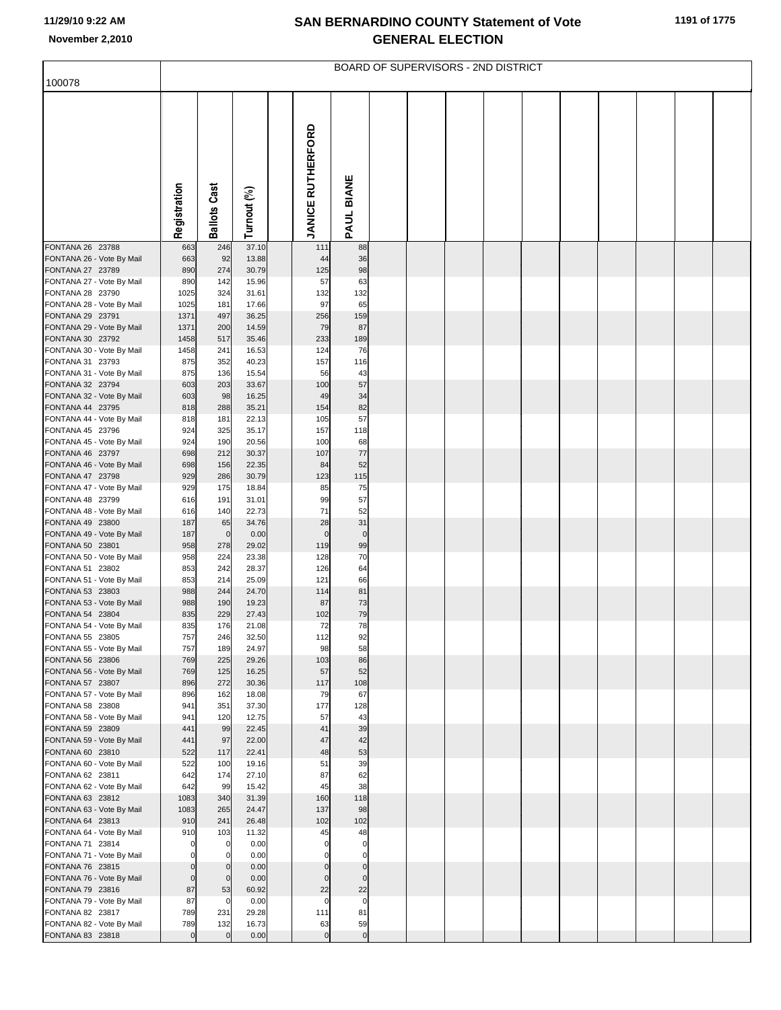| 100078                                        |                       |                       |                |                          |                          | BOARD OF SUPERVISORS - 2ND DISTRICT |  |  |  |  |
|-----------------------------------------------|-----------------------|-----------------------|----------------|--------------------------|--------------------------|-------------------------------------|--|--|--|--|
|                                               |                       |                       |                |                          |                          |                                     |  |  |  |  |
|                                               |                       |                       |                |                          |                          |                                     |  |  |  |  |
|                                               |                       |                       |                | <b>JANICE RUTHERFORD</b> |                          |                                     |  |  |  |  |
|                                               |                       |                       |                |                          |                          |                                     |  |  |  |  |
|                                               |                       |                       |                |                          |                          |                                     |  |  |  |  |
|                                               |                       |                       |                |                          |                          |                                     |  |  |  |  |
|                                               |                       |                       |                |                          |                          |                                     |  |  |  |  |
|                                               | Registration          | <b>Ballots Cast</b>   | Turnout (%)    |                          | PAUL BIANE               |                                     |  |  |  |  |
| FONTANA 26 23788                              | 663                   | 246                   | 37.10          | 111                      | 88                       |                                     |  |  |  |  |
| FONTANA 26 - Vote By Mail                     | 663                   | 92                    | 13.88          | 44                       | 36                       |                                     |  |  |  |  |
| FONTANA 27 23789<br>FONTANA 27 - Vote By Mail | 890<br>890            | 274<br>142            | 30.79<br>15.96 | 125<br>57                | 98<br>63                 |                                     |  |  |  |  |
| FONTANA 28 23790                              | 1025                  | 324                   | 31.61          | 132                      | 132                      |                                     |  |  |  |  |
| FONTANA 28 - Vote By Mail<br>FONTANA 29 23791 | 1025                  | 181<br>497            | 17.66<br>36.25 | 97                       | 65<br>159                |                                     |  |  |  |  |
| FONTANA 29 - Vote By Mail                     | 1371<br>1371          | 200                   | 14.59          | 256<br>79                | 87                       |                                     |  |  |  |  |
| FONTANA 30 23792                              | 1458                  | 517                   | 35.46          | 233                      | 189                      |                                     |  |  |  |  |
| FONTANA 30 - Vote By Mail<br>FONTANA 31 23793 | 1458<br>875           | 241<br>352            | 16.53<br>40.23 | 124<br>157               | 76<br>116                |                                     |  |  |  |  |
| FONTANA 31 - Vote By Mail                     | 875                   | 136                   | 15.54          | 56                       | 43                       |                                     |  |  |  |  |
| FONTANA 32 23794<br>FONTANA 32 - Vote By Mail | 603<br>603            | 203<br>98             | 33.67<br>16.25 | 100<br>49                | 57<br>34                 |                                     |  |  |  |  |
| FONTANA 44 23795                              | 818                   | 288                   | 35.21          | 154                      | 82                       |                                     |  |  |  |  |
| FONTANA 44 - Vote By Mail<br>FONTANA 45 23796 | 818<br>924            | 181<br>325            | 22.13<br>35.17 | 105<br>157               | 57<br>118                |                                     |  |  |  |  |
| FONTANA 45 - Vote By Mail                     | 924                   | 190                   | 20.56          | 100                      | 68                       |                                     |  |  |  |  |
| FONTANA 46 23797<br>FONTANA 46 - Vote By Mail | 698<br>698            | 212<br>156            | 30.37<br>22.35 | 107<br>84                | 77<br>52                 |                                     |  |  |  |  |
| FONTANA 47 23798                              | 929                   | 286                   | 30.79          | 123                      | 115                      |                                     |  |  |  |  |
| FONTANA 47 - Vote By Mail                     | 929                   | 175                   | 18.84          | 85<br>99                 | 75<br>57                 |                                     |  |  |  |  |
| FONTANA 48 23799<br>FONTANA 48 - Vote By Mail | 616<br>616            | 191<br>140            | 31.01<br>22.73 | 71                       | 52                       |                                     |  |  |  |  |
| FONTANA 49 23800                              | 187                   | 65                    | 34.76          | 28                       | 31                       |                                     |  |  |  |  |
| FONTANA 49 - Vote By Mail<br>FONTANA 50 23801 | 187<br>958            | $\mathbf 0$<br>278    | 0.00<br>29.02  | $\mathbf 0$<br>119       | $\pmb{0}$<br>99          |                                     |  |  |  |  |
| FONTANA 50 - Vote By Mail                     | 958                   | 224                   | 23.38          | 128                      | 70                       |                                     |  |  |  |  |
| FONTANA 51 23802<br>FONTANA 51 - Vote By Mail | 853<br>853            | 242<br>214            | 28.37<br>25.09 | 126<br>121               | 64<br>66                 |                                     |  |  |  |  |
| FONTANA 53 23803                              | 988                   | 244                   | 24.70          | 114                      | 81                       |                                     |  |  |  |  |
| FONTANA 53 - Vote By Mail<br>FONTANA 54 23804 | 988<br>835            | 190<br>229            | 19.23<br>27.43 | 87<br>102                | 73<br>79                 |                                     |  |  |  |  |
| FONTANA 54 - Vote By Mail                     | 835                   | 176                   | 21.08          | 72                       | 78                       |                                     |  |  |  |  |
| FONTANA 55 23805<br>FONTANA 55 - Vote By Mail | 757<br>757            | 246<br>189            | 32.50<br>24.97 | 112<br>98                | 92<br>58                 |                                     |  |  |  |  |
| FONTANA 56 23806                              | 769                   | 225                   | 29.26          | 103                      | 86                       |                                     |  |  |  |  |
| FONTANA 56 - Vote By Mail<br>FONTANA 57 23807 | 769<br>896            | 125<br>272            | 16.25<br>30.36 | 57<br>117                | 52<br>108                |                                     |  |  |  |  |
| FONTANA 57 - Vote By Mail                     | 896                   | 162                   | 18.08          | 79                       | 67                       |                                     |  |  |  |  |
| FONTANA 58 23808<br>FONTANA 58 - Vote By Mail | 941<br>941            | 351<br>120            | 37.30<br>12.75 | 177<br>57                | 128<br>43                |                                     |  |  |  |  |
| FONTANA 59 23809                              | 441                   | 99                    | 22.45          | 41                       | 39                       |                                     |  |  |  |  |
| FONTANA 59 - Vote By Mail<br>FONTANA 60 23810 | 441<br>522            | 97<br>117             | 22.00<br>22.41 | 47<br>48                 | 42<br>53                 |                                     |  |  |  |  |
| FONTANA 60 - Vote By Mail                     | 522                   | 100                   | 19.16          | 51                       | 39                       |                                     |  |  |  |  |
| FONTANA 62 23811                              | 642<br>642            | 174<br>99             | 27.10<br>15.42 | 87<br>45                 | 62<br>38                 |                                     |  |  |  |  |
| FONTANA 62 - Vote By Mail<br>FONTANA 63 23812 | 1083                  | 340                   | 31.39          | 160                      | 118                      |                                     |  |  |  |  |
| FONTANA 63 - Vote By Mail                     | 1083                  | 265                   | 24.47          | 137                      | 98                       |                                     |  |  |  |  |
| FONTANA 64 23813<br>FONTANA 64 - Vote By Mail | 910<br>910            | 241<br>103            | 26.48<br>11.32 | 102<br>45                | 102<br>48                |                                     |  |  |  |  |
| FONTANA 71 23814                              | $\mathbf 0$           | $\mathbf{0}$          | 0.00           | $\Omega$                 | $\mathbf 0$              |                                     |  |  |  |  |
| FONTANA 71 - Vote By Mail<br>FONTANA 76 23815 | $\Omega$<br>$\pmb{0}$ | 0<br>$\overline{0}$   | 0.00<br>0.00   | $\mathbf 0$              | $\mathbf 0$<br>$\pmb{0}$ |                                     |  |  |  |  |
| FONTANA 76 - Vote By Mail                     | $\mathbf 0$           | $\mathbf{0}$          | 0.00           | $\mathbf 0$              | $\mathbf 0$              |                                     |  |  |  |  |
| FONTANA 79 23816<br>FONTANA 79 - Vote By Mail | 87<br>87              | 53<br>$\mathbf 0$     | 60.92<br>0.00  | 22<br>$\mathbf 0$        | 22<br>$\pmb{0}$          |                                     |  |  |  |  |
| FONTANA 82 23817                              | 789                   | 231                   | 29.28          | 111                      | 81                       |                                     |  |  |  |  |
| FONTANA 82 - Vote By Mail<br>FONTANA 83 23818 | 789<br>$\mathbf 0$    | 132<br>$\overline{0}$ | 16.73<br>0.00  | 63<br>$\mathbf 0$        | 59<br>$\pmb{0}$          |                                     |  |  |  |  |
|                                               |                       |                       |                |                          |                          |                                     |  |  |  |  |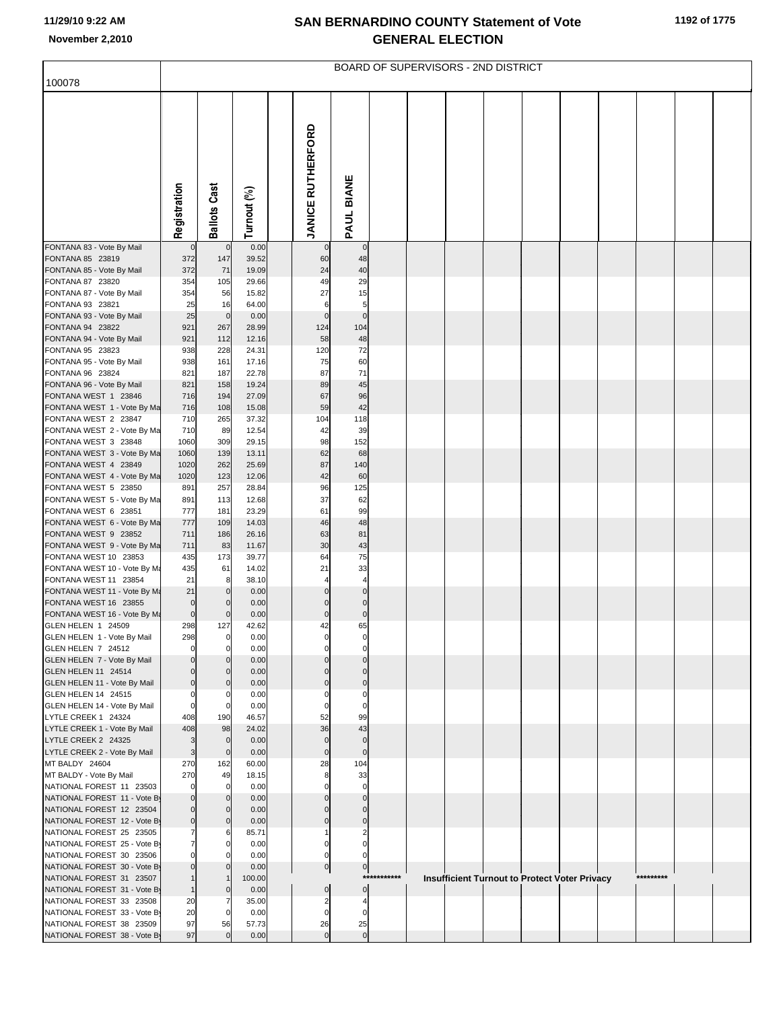| 100078                                                   |                  |                            |                |                               |                         |             | BOARD OF SUPERVISORS - 2ND DISTRICT |  |                                                      |  |           |  |
|----------------------------------------------------------|------------------|----------------------------|----------------|-------------------------------|-------------------------|-------------|-------------------------------------|--|------------------------------------------------------|--|-----------|--|
|                                                          |                  |                            |                |                               |                         |             |                                     |  |                                                      |  |           |  |
|                                                          | Registration     | <b>Ballots Cast</b>        | Turnout (%)    | <b>JANICE RUTHERFORD</b>      | PAUL BIANE              |             |                                     |  |                                                      |  |           |  |
| FONTANA 83 - Vote By Mail                                |                  | $\overline{0}$             | 0.00           |                               | $\mathbf 0$             |             |                                     |  |                                                      |  |           |  |
| FONTANA 85 23819                                         | 0<br>372         | 147                        | 39.52          | $\mathbf 0$<br>60             | 48                      |             |                                     |  |                                                      |  |           |  |
| FONTANA 85 - Vote By Mail                                | 372              | 71                         | 19.09          | 24                            | 40                      |             |                                     |  |                                                      |  |           |  |
| FONTANA 87 23820                                         | 354              | 105                        | 29.66          | 49                            | 29                      |             |                                     |  |                                                      |  |           |  |
| FONTANA 87 - Vote By Mail<br>FONTANA 93 23821            | 354<br>25        | 56<br>16                   | 15.82<br>64.00 | 27<br>6                       | 15<br>5                 |             |                                     |  |                                                      |  |           |  |
| FONTANA 93 - Vote By Mail                                | 25               | $\mathbf 0$                | 0.00           | $\mathbf 0$                   | $\mathbf 0$             |             |                                     |  |                                                      |  |           |  |
| FONTANA 94 23822                                         | 921              | 267                        | 28.99          | 124                           | 104                     |             |                                     |  |                                                      |  |           |  |
| FONTANA 94 - Vote By Mail                                | 921              | 112                        | 12.16          | 58                            | 48                      |             |                                     |  |                                                      |  |           |  |
| FONTANA 95 23823<br>FONTANA 95 - Vote By Mail            | 938<br>938       | 228<br>161                 | 24.31<br>17.16 | 120<br>75                     | 72<br>60                |             |                                     |  |                                                      |  |           |  |
| FONTANA 96 23824                                         | 821              | 187                        | 22.78          | 87                            | 71                      |             |                                     |  |                                                      |  |           |  |
| FONTANA 96 - Vote By Mail                                | 821              | 158                        | 19.24          | 89                            | 45                      |             |                                     |  |                                                      |  |           |  |
| FONTANA WEST 1 23846                                     | 716              | 194                        | 27.09          | 67                            | 96                      |             |                                     |  |                                                      |  |           |  |
| FONTANA WEST 1 - Vote By Ma<br>FONTANA WEST 2 23847      | 716<br>710       | 108<br>265                 | 15.08<br>37.32 | 59<br>104                     | 42<br>118               |             |                                     |  |                                                      |  |           |  |
| FONTANA WEST 2 - Vote By Ma                              | 710              | 89                         | 12.54          | 42                            | 39                      |             |                                     |  |                                                      |  |           |  |
| FONTANA WEST 3 23848                                     | 1060             | 309                        | 29.15          | 98                            | 152                     |             |                                     |  |                                                      |  |           |  |
| FONTANA WEST 3 - Vote By Ma                              | 1060             | 139                        | 13.11          | 62<br>87                      | 68                      |             |                                     |  |                                                      |  |           |  |
| FONTANA WEST 4 23849<br>FONTANA WEST 4 - Vote By Ma      | 1020<br>1020     | 262<br>123                 | 25.69<br>12.06 | 42                            | 140<br>60               |             |                                     |  |                                                      |  |           |  |
| FONTANA WEST 5 23850                                     | 891              | 257                        | 28.84          | 96                            | 125                     |             |                                     |  |                                                      |  |           |  |
| FONTANA WEST 5 - Vote By Ma                              | 891              | 113                        | 12.68          | 37                            | 62                      |             |                                     |  |                                                      |  |           |  |
| FONTANA WEST 6 23851                                     | 777              | 181<br>109                 | 23.29<br>14.03 | 61<br>46                      | 99<br>48                |             |                                     |  |                                                      |  |           |  |
| FONTANA WEST 6 - Vote By Ma<br>FONTANA WEST 9 23852      | 777<br>711       | 186                        | 26.16          | 63                            | 81                      |             |                                     |  |                                                      |  |           |  |
| FONTANA WEST 9 - Vote By Ma                              | 711              | 83                         | 11.67          | 30                            | 43                      |             |                                     |  |                                                      |  |           |  |
| FONTANA WEST 10 23853                                    | 435              | 173                        | 39.77          | 64                            | 75                      |             |                                     |  |                                                      |  |           |  |
| FONTANA WEST 10 - Vote By Ma<br>FONTANA WEST 11 23854    | 435<br>21        | 61<br>8                    | 14.02<br>38.10 | 21                            | 33<br>$\overline{4}$    |             |                                     |  |                                                      |  |           |  |
| FONTANA WEST 11 - Vote By Ma                             | 21               | $\mathbf{0}$               | 0.00           | $\Omega$                      | $\mathbf 0$             |             |                                     |  |                                                      |  |           |  |
| FONTANA WEST 16 23855                                    | $\mathbf 0$      | $\mathbf 0$                | 0.00           | $\Omega$                      | $\mathbf 0$             |             |                                     |  |                                                      |  |           |  |
| FONTANA WEST 16 - Vote By Ma                             | $\mathbf 0$      | $\mathbf{0}$               | 0.00           | $\mathbf 0$                   | $\mathbf 0$             |             |                                     |  |                                                      |  |           |  |
| GLEN HELEN 1 24509<br>GLEN HELEN 1 - Vote By Mail        | 298<br>298       | 127<br>$\mathbf{0}$        | 42.62<br>0.00  | 42                            | 65                      |             |                                     |  |                                                      |  |           |  |
| GLEN HELEN 7 24512                                       | 0                | $\mathbf 0$                | 0.00           |                               |                         |             |                                     |  |                                                      |  |           |  |
| GLEN HELEN 7 - Vote By Mail                              | 0                | $\Omega$                   | 0.00           | $\Omega$                      | $\Omega$                |             |                                     |  |                                                      |  |           |  |
| GLEN HELEN 11 24514                                      | $\Omega$         | $\Omega$                   | 0.00           | $\Omega$                      |                         |             |                                     |  |                                                      |  |           |  |
| GLEN HELEN 11 - Vote By Mail<br>GLEN HELEN 14 24515      | $\mathbf 0$<br>0 | $\mathbf{0}$<br>$\Omega$   | 0.00<br>0.00   | $\Omega$                      | $\Omega$                |             |                                     |  |                                                      |  |           |  |
| GLEN HELEN 14 - Vote By Mail                             | 0                | $\mathbf 0$                | 0.00           | $\Omega$                      | $\mathbf 0$             |             |                                     |  |                                                      |  |           |  |
| LYTLE CREEK 1 24324                                      | 408              | 190                        | 46.57          | 52                            | 99                      |             |                                     |  |                                                      |  |           |  |
| LYTLE CREEK 1 - Vote By Mail<br>LYTLE CREEK 2 24325      | 408              | 98<br>$\mathbf 0$          | 24.02<br>0.00  | 36<br>$\mathbf 0$             | 43<br>$\mathbf 0$       |             |                                     |  |                                                      |  |           |  |
| LYTLE CREEK 2 - Vote By Mail                             | 3<br>3           | $\mathbf 0$                | 0.00           | $\mathbf 0$                   | $\mathbf 0$             |             |                                     |  |                                                      |  |           |  |
| MT BALDY 24604                                           | 270              | 162                        | 60.00          | 28                            | 104                     |             |                                     |  |                                                      |  |           |  |
| MT BALDY - Vote By Mail                                  | 270              | 49                         | 18.15          | 8                             | 33                      |             |                                     |  |                                                      |  |           |  |
| NATIONAL FOREST 11 23503<br>NATIONAL FOREST 11 - Vote By | $\Omega$<br>0    | $\Omega$<br>$\overline{0}$ | 0.00<br>0.00   | $\Omega$<br>$\Omega$          | $\mathbf 0$<br>$\Omega$ |             |                                     |  |                                                      |  |           |  |
| NATIONAL FOREST 12 23504                                 | 0                | $\Omega$                   | 0.00           | $\Omega$                      | $\Omega$                |             |                                     |  |                                                      |  |           |  |
| NATIONAL FOREST 12 - Vote By                             | $\overline{0}$   | $\overline{0}$             | 0.00           | $\mathbf{0}$                  | $\mathbf 0$             |             |                                     |  |                                                      |  |           |  |
| NATIONAL FOREST 25 23505                                 |                  | 6                          | 85.71          |                               |                         |             |                                     |  |                                                      |  |           |  |
| NATIONAL FOREST 25 - Vote By<br>NATIONAL FOREST 30 23506 | $\overline{7}$   | $\Omega$                   | 0.00<br>0.00   | 0<br>0                        | $\Omega$                |             |                                     |  |                                                      |  |           |  |
| NATIONAL FOREST 30 - Vote By                             | 0                | $\mathbf{0}$               | 0.00           | $\overline{0}$                | $\overline{0}$          |             |                                     |  |                                                      |  |           |  |
| NATIONAL FOREST 31 23507                                 |                  |                            | 100.00         |                               |                         | *********** |                                     |  | <b>Insufficient Turnout to Protect Voter Privacy</b> |  | ********* |  |
| NATIONAL FOREST 31 - Vote By                             |                  | $\overline{0}$             | 0.00           | $\mathbf 0$                   | $\overline{0}$          |             |                                     |  |                                                      |  |           |  |
| NATIONAL FOREST 33 23508<br>NATIONAL FOREST 33 - Vote By | 20<br>20         | $\overline{0}$             | 35.00<br>0.00  | $\overline{2}$<br>$\mathbf 0$ | $\Omega$                |             |                                     |  |                                                      |  |           |  |
| NATIONAL FOREST 38 23509                                 | 97               | 56                         | 57.73          | 26                            | 25                      |             |                                     |  |                                                      |  |           |  |
| NATIONAL FOREST 38 - Vote By                             | 97               | $\Omega$                   | 0.00           | $\mathbf{0}$                  | $\mathbf 0$             |             |                                     |  |                                                      |  |           |  |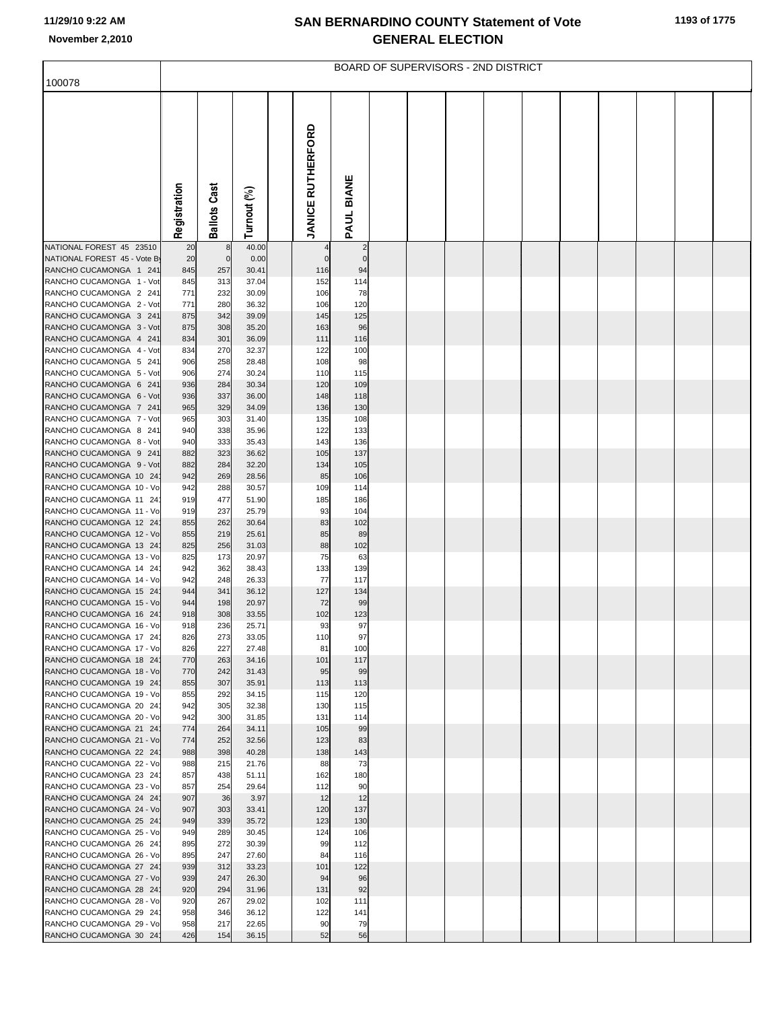|                                                    |              |                 |                |                          |                | BOARD OF SUPERVISORS - 2ND DISTRICT |  |  |  |  |
|----------------------------------------------------|--------------|-----------------|----------------|--------------------------|----------------|-------------------------------------|--|--|--|--|
| 100078                                             |              |                 |                |                          |                |                                     |  |  |  |  |
|                                                    | Registration | Cast<br>Ballots | Turnout (%)    | <b>JANICE RUTHERFORD</b> | PAUL BIANE     |                                     |  |  |  |  |
| NATIONAL FOREST 45 23510                           | 20           | 8               | 40.00          |                          | $\overline{2}$ |                                     |  |  |  |  |
| NATIONAL FOREST 45 - Vote By                       | 20           | $\mathbf 0$     | 0.00           | $\Omega$                 | $\mathbf 0$    |                                     |  |  |  |  |
| RANCHO CUCAMONGA 1 241                             | 845          | 257             | 30.41          | 116                      | 94             |                                     |  |  |  |  |
| RANCHO CUCAMONGA 1 - Vot                           | 845          | 313             | 37.04          | 152                      | 114            |                                     |  |  |  |  |
| RANCHO CUCAMONGA 2 241                             | 771          | 232             | 30.09          | 106                      | 78             |                                     |  |  |  |  |
| RANCHO CUCAMONGA 2 - Vot                           | 771          | 280             | 36.32          | 106                      | 120            |                                     |  |  |  |  |
| RANCHO CUCAMONGA 3 241                             | 875          | 342             | 39.09          | 145                      | 125            |                                     |  |  |  |  |
| RANCHO CUCAMONGA 3 - Vot<br>RANCHO CUCAMONGA 4 241 | 875<br>834   | 308<br>301      | 35.20<br>36.09 | 163<br>111               | 96<br>116      |                                     |  |  |  |  |
| RANCHO CUCAMONGA 4 - Vot                           | 834          | 270             | 32.37          | 122                      | 100            |                                     |  |  |  |  |
| RANCHO CUCAMONGA 5 241                             | 906          | 258             | 28.48          | 108                      | 98             |                                     |  |  |  |  |
| RANCHO CUCAMONGA 5 - Vot                           | 906          | 274             | 30.24          | 110                      | 115            |                                     |  |  |  |  |
| RANCHO CUCAMONGA 6 241                             | 936          | 284             | 30.34          | 120                      | 109            |                                     |  |  |  |  |
| RANCHO CUCAMONGA 6 - Vot<br>RANCHO CUCAMONGA 7 241 | 936<br>965   | 337<br>329      | 36.00<br>34.09 | 148<br>136               | 118<br>130     |                                     |  |  |  |  |
| RANCHO CUCAMONGA 7 - Vot                           | 965          | 303             | 31.40          | 135                      | 108            |                                     |  |  |  |  |
| RANCHO CUCAMONGA 8 241                             | 940          | 338             | 35.96          | 122                      | 133            |                                     |  |  |  |  |
| RANCHO CUCAMONGA 8 - Vot                           | 940          | 333             | 35.43          | 143                      | 136            |                                     |  |  |  |  |
| RANCHO CUCAMONGA 9 241                             | 882          | 323             | 36.62          | 105                      | 137            |                                     |  |  |  |  |
| RANCHO CUCAMONGA 9 - Vot                           | 882          | 284             | 32.20          | 134                      | 105            |                                     |  |  |  |  |
| RANCHO CUCAMONGA 10 24<br>RANCHO CUCAMONGA 10 - Vo | 942<br>942   | 269<br>288      | 28.56<br>30.57 | 85<br>109                | 106<br>114     |                                     |  |  |  |  |
| RANCHO CUCAMONGA 11 24                             | 919          | 477             | 51.90          | 185                      | 186            |                                     |  |  |  |  |
| RANCHO CUCAMONGA 11 - Vo                           | 919          | 237             | 25.79          | 93                       | 104            |                                     |  |  |  |  |
| RANCHO CUCAMONGA 12 24                             | 855          | 262             | 30.64          | 83                       | 102            |                                     |  |  |  |  |
| RANCHO CUCAMONGA 12 - Vo                           | 855          | 219             | 25.61          | 85                       | 89             |                                     |  |  |  |  |
| RANCHO CUCAMONGA 13 24                             | 825          | 256             | 31.03          | 88                       | 102            |                                     |  |  |  |  |
| RANCHO CUCAMONGA 13 - Vo<br>RANCHO CUCAMONGA 14 24 | 825<br>942   | 173<br>362      | 20.97<br>38.43 | 75<br>133                | 63<br>139      |                                     |  |  |  |  |
| RANCHO CUCAMONGA 14 - Vo                           | 942          | 248             | 26.33          | 77                       | 117            |                                     |  |  |  |  |
| RANCHO CUCAMONGA 15 24                             | 944          | 341             | 36.12          | 127                      | 134            |                                     |  |  |  |  |
| RANCHO CUCAMONGA 15 - Vo                           | 944          | 198             | 20.97          | 72                       | 99             |                                     |  |  |  |  |
| RANCHO CUCAMONGA 16 24                             | 918          | 308             | 33.55          | 102                      | 123            |                                     |  |  |  |  |
| RANCHO CUCAMONGA 16 - Vo<br>RANCHO CUCAMONGA 17 24 | 918<br>826   | 236<br>273      | 25.71<br>33.05 | 93<br>110                | 97<br>97       |                                     |  |  |  |  |
| RANCHO CUCAMONGA 17 - Vo                           | 826          | 227             | 27.48          | 81                       | 100            |                                     |  |  |  |  |
| RANCHO CUCAMONGA 18 24                             | 770          | 263             | 34.16          | 101                      | 117            |                                     |  |  |  |  |
| RANCHO CUCAMONGA 18 - Vo                           | 770          | 242             | 31.43          | 95                       | 99             |                                     |  |  |  |  |
| RANCHO CUCAMONGA 19 24                             | 855          | 307             | 35.91          | 113                      | 113            |                                     |  |  |  |  |
| RANCHO CUCAMONGA 19 - Vo<br>RANCHO CUCAMONGA 20 24 | 855<br>942   | 292<br>305      | 34.15<br>32.38 | 115<br>130               | 120<br>115     |                                     |  |  |  |  |
| RANCHO CUCAMONGA 20 - Vo                           | 942          | 300             | 31.85          | 131                      | 114            |                                     |  |  |  |  |
| RANCHO CUCAMONGA 21 24                             | 774          | 264             | 34.11          | 105                      | 99             |                                     |  |  |  |  |
| RANCHO CUCAMONGA 21 - Vo                           | 774          | 252             | 32.56          | 123                      | 83             |                                     |  |  |  |  |
| RANCHO CUCAMONGA 22 24<br>RANCHO CUCAMONGA 22 - Vo | 988          | 398             | 40.28          | 138                      | 143            |                                     |  |  |  |  |
| RANCHO CUCAMONGA 23 24                             | 988<br>857   | 215<br>438      | 21.76<br>51.11 | 88<br>162                | 73<br>180      |                                     |  |  |  |  |
| RANCHO CUCAMONGA 23 - Vo                           | 857          | 254             | 29.64          | 112                      | 90             |                                     |  |  |  |  |
| RANCHO CUCAMONGA 24 24                             | 907          | 36              | 3.97           | 12                       | 12             |                                     |  |  |  |  |
| RANCHO CUCAMONGA 24 - Vo                           | 907          | 303             | 33.41          | 120                      | 137            |                                     |  |  |  |  |
| RANCHO CUCAMONGA 25 24                             | 949          | 339             | 35.72          | 123                      | 130            |                                     |  |  |  |  |
| RANCHO CUCAMONGA 25 - Vo<br>RANCHO CUCAMONGA 26 24 | 949<br>895   | 289<br>272      | 30.45<br>30.39 | 124<br>99                | 106<br>112     |                                     |  |  |  |  |
| RANCHO CUCAMONGA 26 - Vo                           | 895          | 247             | 27.60          | 84                       | 116            |                                     |  |  |  |  |
| RANCHO CUCAMONGA 27 24                             | 939          | 312             | 33.23          | 101                      | 122            |                                     |  |  |  |  |
| RANCHO CUCAMONGA 27 - Vo                           | 939          | 247             | 26.30          | 94                       | 96             |                                     |  |  |  |  |
| RANCHO CUCAMONGA 28 24                             | 920          | 294             | 31.96          | 131                      | 92             |                                     |  |  |  |  |
| RANCHO CUCAMONGA 28 - Vo<br>RANCHO CUCAMONGA 29 24 | 920<br>958   | 267<br>346      | 29.02<br>36.12 | 102<br>122               | 111<br>141     |                                     |  |  |  |  |
| RANCHO CUCAMONGA 29 - Vo                           | 958          | 217             | 22.65          | 90                       | 79             |                                     |  |  |  |  |
| RANCHO CUCAMONGA 30 24                             | 426          | 154             | 36.15          | 52                       | 56             |                                     |  |  |  |  |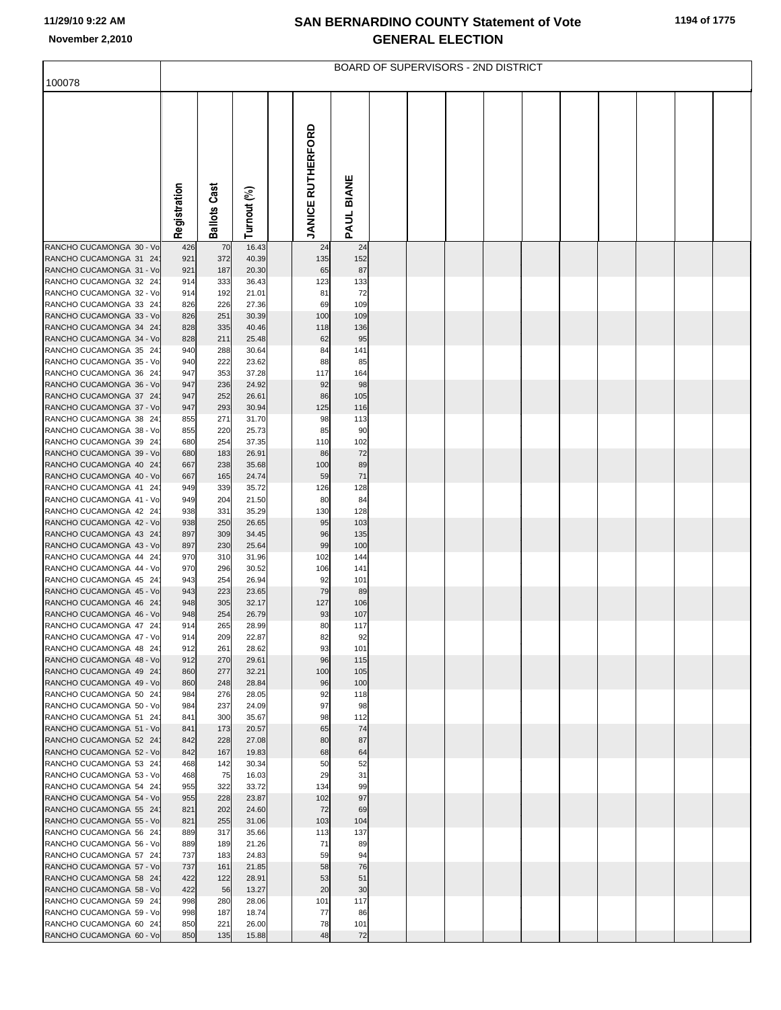|                                                    |              |                     |                |                          |            | BOARD OF SUPERVISORS - 2ND DISTRICT |  |  |  |  |
|----------------------------------------------------|--------------|---------------------|----------------|--------------------------|------------|-------------------------------------|--|--|--|--|
| 100078                                             |              |                     |                |                          |            |                                     |  |  |  |  |
|                                                    | Registration | <b>Ballots Cast</b> | Turnout (%)    | <b>JANICE RUTHERFORD</b> | PAUL BIANE |                                     |  |  |  |  |
|                                                    |              |                     |                |                          |            |                                     |  |  |  |  |
| RANCHO CUCAMONGA 30 - Vo<br>RANCHO CUCAMONGA 31 24 | 426<br>921   | 70<br>372           | 16.43<br>40.39 | 24<br>135                | 24<br>152  |                                     |  |  |  |  |
| RANCHO CUCAMONGA 31 - Vo                           | 921          | 187                 | 20.30          | 65                       | 87         |                                     |  |  |  |  |
| RANCHO CUCAMONGA 32 24                             | 914          | 333                 | 36.43          | 123                      | 133        |                                     |  |  |  |  |
| RANCHO CUCAMONGA 32 - Vo<br>RANCHO CUCAMONGA 33 24 | 914<br>826   | 192<br>226          | 21.01<br>27.36 | 81<br>69                 | 72<br>109  |                                     |  |  |  |  |
| RANCHO CUCAMONGA 33 - Vo                           | 826          | 251                 | 30.39          | 100                      | 109        |                                     |  |  |  |  |
| RANCHO CUCAMONGA 34 24                             | 828          | 335                 | 40.46          | 118                      | 136        |                                     |  |  |  |  |
| RANCHO CUCAMONGA 34 - Vo                           | 828          | 211                 | 25.48          | 62                       | 95         |                                     |  |  |  |  |
| RANCHO CUCAMONGA 35 24                             | 940          | 288                 | 30.64          | 84                       | 141        |                                     |  |  |  |  |
| RANCHO CUCAMONGA 35 - Vo<br>RANCHO CUCAMONGA 36 24 | 940<br>947   | 222<br>353          | 23.62<br>37.28 | 88<br>117                | 85<br>164  |                                     |  |  |  |  |
| RANCHO CUCAMONGA 36 - Vo                           | 947          | 236                 | 24.92          | 92                       | 98         |                                     |  |  |  |  |
| RANCHO CUCAMONGA 37 24                             | 947          | 252                 | 26.61          | 86                       | 105        |                                     |  |  |  |  |
| RANCHO CUCAMONGA 37 - Vo                           | 947          | 293                 | 30.94          | 125                      | 116        |                                     |  |  |  |  |
| RANCHO CUCAMONGA 38 24                             | 855          | 271                 | 31.70          | 98                       | 113        |                                     |  |  |  |  |
| RANCHO CUCAMONGA 38 - Vo<br>RANCHO CUCAMONGA 39 24 | 855<br>680   | 220<br>254          | 25.73<br>37.35 | 85<br>110                | 90<br>102  |                                     |  |  |  |  |
| RANCHO CUCAMONGA 39 - Vo                           | 680          | 183                 | 26.91          | 86                       | 72         |                                     |  |  |  |  |
| RANCHO CUCAMONGA 40 24                             | 667          | 238                 | 35.68          | 100                      | 89         |                                     |  |  |  |  |
| RANCHO CUCAMONGA 40 - Vo                           | 667          | 165                 | 24.74          | 59                       | 71         |                                     |  |  |  |  |
| RANCHO CUCAMONGA 41 24<br>RANCHO CUCAMONGA 41 - Vo | 949<br>949   | 339<br>204          | 35.72<br>21.50 | 126<br>80                | 128<br>84  |                                     |  |  |  |  |
| RANCHO CUCAMONGA 42 24                             | 938          | 331                 | 35.29          | 130                      | 128        |                                     |  |  |  |  |
| RANCHO CUCAMONGA 42 - Vo                           | 938          | 250                 | 26.65          | 95                       | 103        |                                     |  |  |  |  |
| RANCHO CUCAMONGA 43 24                             | 897          | 309                 | 34.45          | 96                       | 135        |                                     |  |  |  |  |
| RANCHO CUCAMONGA 43 - Vo<br>RANCHO CUCAMONGA 44 24 | 897<br>970   | 230<br>310          | 25.64<br>31.96 | 99<br>102                | 100<br>144 |                                     |  |  |  |  |
| RANCHO CUCAMONGA 44 - Vo                           | 970          | 296                 | 30.52          | 106                      | 141        |                                     |  |  |  |  |
| RANCHO CUCAMONGA 45 24                             | 943          | 254                 | 26.94          | 92                       | 101        |                                     |  |  |  |  |
| RANCHO CUCAMONGA 45 - Vo                           | 943          | 223                 | 23.65          | 79                       | 89         |                                     |  |  |  |  |
| RANCHO CUCAMONGA 46 24<br>RANCHO CUCAMONGA 46 - Vo | 948          | 305                 | 32.17          | 127<br>93                | 106        |                                     |  |  |  |  |
| RANCHO CUCAMONGA 47 24                             | 948<br>914   | 254<br>265          | 26.79<br>28.99 | 80                       | 107<br>117 |                                     |  |  |  |  |
| RANCHO CUCAMONGA 47 - Vo                           | 914          | 209                 | 22.87          | 82                       | 92         |                                     |  |  |  |  |
| RANCHO CUCAMONGA 48 24                             | 912          | 261                 | 28.62          | 93                       | 101        |                                     |  |  |  |  |
| RANCHO CUCAMONGA 48 - Vo                           | 912          | 270                 | 29.61          | 96                       | 115        |                                     |  |  |  |  |
| RANCHO CUCAMONGA 49 24<br>RANCHO CUCAMONGA 49 - Vo | 860<br>860   | 277<br>248          | 32.21<br>28.84 | 100<br>96                | 105<br>100 |                                     |  |  |  |  |
| RANCHO CUCAMONGA 50 24                             | 984          | 276                 | 28.05          | 92                       | 118        |                                     |  |  |  |  |
| RANCHO CUCAMONGA 50 - Vo                           | 984          | 237                 | 24.09          | 97                       | 98         |                                     |  |  |  |  |
| RANCHO CUCAMONGA 51 24                             | 841          | 300                 | 35.67          | 98                       | 112        |                                     |  |  |  |  |
| RANCHO CUCAMONGA 51 - Vo<br>RANCHO CUCAMONGA 52 24 | 841<br>842   | 173<br>228          | 20.57<br>27.08 | 65<br>80                 | 74<br>87   |                                     |  |  |  |  |
| RANCHO CUCAMONGA 52 - Vo                           | 842          | 167                 | 19.83          | 68                       | 64         |                                     |  |  |  |  |
| RANCHO CUCAMONGA 53 24                             | 468          | 142                 | 30.34          | 50                       | 52         |                                     |  |  |  |  |
| RANCHO CUCAMONGA 53 - Vo                           | 468          | 75                  | 16.03          | 29                       | 31         |                                     |  |  |  |  |
| RANCHO CUCAMONGA 54 24                             | 955          | 322<br>228          | 33.72          | 134<br>102               | 99<br>97   |                                     |  |  |  |  |
| RANCHO CUCAMONGA 54 - Vo<br>RANCHO CUCAMONGA 55 24 | 955<br>821   | 202                 | 23.87<br>24.60 | 72                       | 69         |                                     |  |  |  |  |
| RANCHO CUCAMONGA 55 - Vo                           | 821          | 255                 | 31.06          | 103                      | 104        |                                     |  |  |  |  |
| RANCHO CUCAMONGA 56 24                             | 889          | 317                 | 35.66          | 113                      | 137        |                                     |  |  |  |  |
| RANCHO CUCAMONGA 56 - Vo                           | 889          | 189                 | 21.26          | 71                       | 89         |                                     |  |  |  |  |
| RANCHO CUCAMONGA 57 24<br>RANCHO CUCAMONGA 57 - Vo | 737<br>737   | 183<br>161          | 24.83<br>21.85 | 59<br>58                 | 94<br>76   |                                     |  |  |  |  |
| RANCHO CUCAMONGA 58 24                             | 422          | 122                 | 28.91          | 53                       | 51         |                                     |  |  |  |  |
| RANCHO CUCAMONGA 58 - Vo                           | 422          | 56                  | 13.27          | 20                       | 30         |                                     |  |  |  |  |
| RANCHO CUCAMONGA 59 24                             | 998          | 280                 | 28.06          | 101                      | 117        |                                     |  |  |  |  |
| RANCHO CUCAMONGA 59 - Vo<br>RANCHO CUCAMONGA 60 24 | 998<br>850   | 187<br>221          | 18.74<br>26.00 | 77<br>78                 | 86<br>101  |                                     |  |  |  |  |
| RANCHO CUCAMONGA 60 - Vo                           | 850          | 135                 | 15.88          | 48                       | 72         |                                     |  |  |  |  |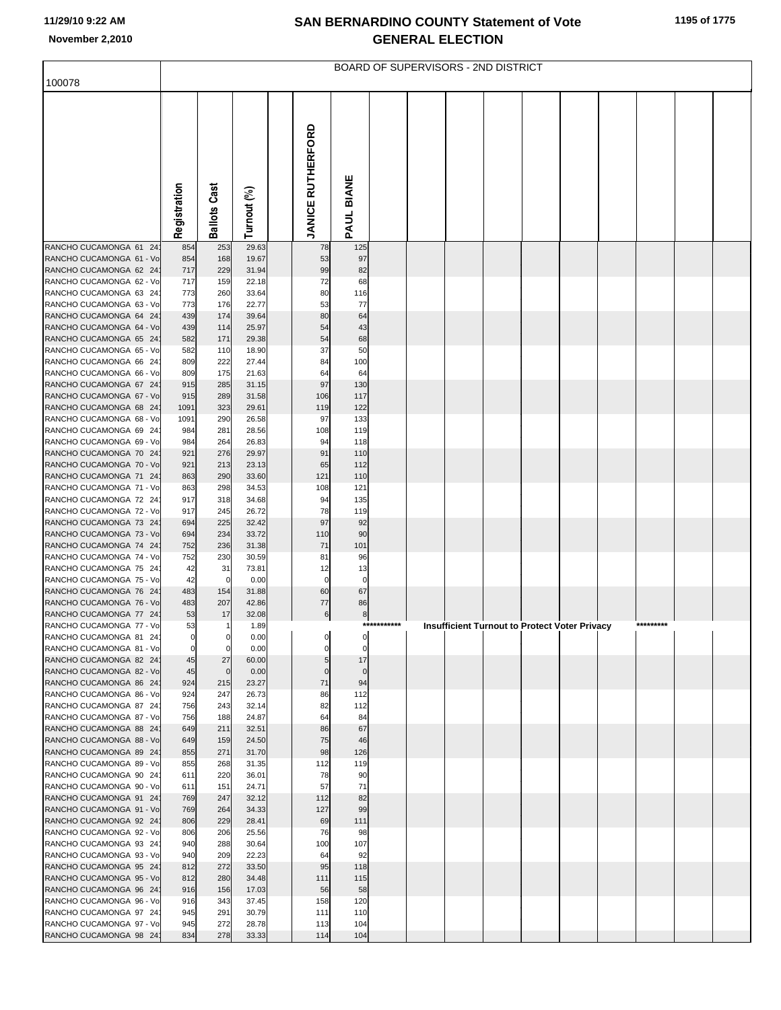|                                                    |                |                    |                |                          |                   |             | BOARD OF SUPERVISORS - 2ND DISTRICT |  |                                                      |  |  |
|----------------------------------------------------|----------------|--------------------|----------------|--------------------------|-------------------|-------------|-------------------------------------|--|------------------------------------------------------|--|--|
| 100078                                             |                |                    |                |                          |                   |             |                                     |  |                                                      |  |  |
|                                                    | Registration   | Cast<br>Ballots    | Turnout (%)    | <b>JANICE RUTHERFORD</b> | PAUL BIANE        |             |                                     |  |                                                      |  |  |
| RANCHO CUCAMONGA 61 24                             | 854            | 253                | 29.63          | 78                       | 125               |             |                                     |  |                                                      |  |  |
| RANCHO CUCAMONGA 61 - Vo                           | 854            | 168                | 19.67          | 53                       | 97                |             |                                     |  |                                                      |  |  |
| RANCHO CUCAMONGA 62 24<br>RANCHO CUCAMONGA 62 - Vo | 717<br>717     | 229<br>159         | 31.94<br>22.18 | 99<br>72                 | 82<br>68          |             |                                     |  |                                                      |  |  |
| RANCHO CUCAMONGA 63 24                             | 773            | 260                | 33.64          | 80                       | 116               |             |                                     |  |                                                      |  |  |
| RANCHO CUCAMONGA 63 - Vo                           | 773            | 176                | 22.77          | 53                       | 77                |             |                                     |  |                                                      |  |  |
| RANCHO CUCAMONGA 64 24                             | 439            | 174                | 39.64          | 80                       | 64                |             |                                     |  |                                                      |  |  |
| RANCHO CUCAMONGA 64 - Vo                           | 439            | 114                | 25.97          | 54                       | 43                |             |                                     |  |                                                      |  |  |
| RANCHO CUCAMONGA 65 24<br>RANCHO CUCAMONGA 65 - Vo | 582<br>582     | 171<br>110         | 29.38<br>18.90 | 54<br>37                 | 68<br>50          |             |                                     |  |                                                      |  |  |
| RANCHO CUCAMONGA 66 24                             | 809            | 222                | 27.44          | 84                       | 100               |             |                                     |  |                                                      |  |  |
| RANCHO CUCAMONGA 66 - Vo                           | 809            | 175                | 21.63          | 64                       | 64                |             |                                     |  |                                                      |  |  |
| RANCHO CUCAMONGA 67 24                             | 915            | 285                | 31.15          | 97                       | 130               |             |                                     |  |                                                      |  |  |
| RANCHO CUCAMONGA 67 - Vo                           | 915            | 289                | 31.58          | 106                      | 117               |             |                                     |  |                                                      |  |  |
| RANCHO CUCAMONGA 68 24<br>RANCHO CUCAMONGA 68 - Vo | 1091<br>1091   | 323<br>290         | 29.61<br>26.58 | 119<br>97                | 122<br>133        |             |                                     |  |                                                      |  |  |
| RANCHO CUCAMONGA 69 24                             | 984            | 281                | 28.56          | 108                      | 119               |             |                                     |  |                                                      |  |  |
| RANCHO CUCAMONGA 69 - Vo                           | 984            | 264                | 26.83          | 94                       | 118               |             |                                     |  |                                                      |  |  |
| RANCHO CUCAMONGA 70 24                             | 921            | 276                | 29.97          | 91                       | 110               |             |                                     |  |                                                      |  |  |
| RANCHO CUCAMONGA 70 - Vo                           | 921            | 213                | 23.13          | 65                       | 112               |             |                                     |  |                                                      |  |  |
| RANCHO CUCAMONGA 71 24<br>RANCHO CUCAMONGA 71 - Vo | 863<br>863     | 290<br>298         | 33.60<br>34.53 | 121<br>108               | 110<br>121        |             |                                     |  |                                                      |  |  |
| RANCHO CUCAMONGA 72 24                             | 917            | 318                | 34.68          | 94                       | 135               |             |                                     |  |                                                      |  |  |
| RANCHO CUCAMONGA 72 - Vo                           | 917            | 245                | 26.72          | 78                       | 119               |             |                                     |  |                                                      |  |  |
| RANCHO CUCAMONGA 73 24                             | 694            | 225                | 32.42          | 97                       | 92                |             |                                     |  |                                                      |  |  |
| RANCHO CUCAMONGA 73 - Vo<br>RANCHO CUCAMONGA 74 24 | 694<br>752     | 234<br>236         | 33.72<br>31.38 | 110<br>71                | 90                |             |                                     |  |                                                      |  |  |
| RANCHO CUCAMONGA 74 - Vo                           | 752            | 230                | 30.59          | 81                       | 101<br>96         |             |                                     |  |                                                      |  |  |
| RANCHO CUCAMONGA 75 24                             | 42             | 31                 | 73.81          | 12                       | 13                |             |                                     |  |                                                      |  |  |
| RANCHO CUCAMONGA 75 - Vo                           | 42             | $\mathbf 0$        | 0.00           | 0                        | $\pmb{0}$         |             |                                     |  |                                                      |  |  |
| RANCHO CUCAMONGA 76 24                             | 483            | 154                | 31.88          | 60                       | 67                |             |                                     |  |                                                      |  |  |
| RANCHO CUCAMONGA 76 - Vo<br>RANCHO CUCAMONGA 77 24 | 483<br>53      | 207<br>17          | 42.86<br>32.08 | 77<br>6                  | 86<br>8           |             |                                     |  |                                                      |  |  |
| RANCHO CUCAMONGA 77 - Vo                           | 53             |                    | 1.89           |                          |                   | *********** |                                     |  | <b>Insufficient Turnout to Protect Voter Privacy</b> |  |  |
| RANCHO CUCAMONGA 81 24                             | $\overline{0}$ | $\mathbf{0}$       | 0.00           |                          |                   |             |                                     |  |                                                      |  |  |
| RANCHO CUCAMONGA 81 - Vo                           | $\mathbf 0$    | 0                  | 0.00           |                          | $\mathbf 0$       |             |                                     |  |                                                      |  |  |
| RANCHO CUCAMONGA 82 24                             | 45             | 27                 | 60.00          | 5                        | 17                |             |                                     |  |                                                      |  |  |
| RANCHO CUCAMONGA 82 - Vo<br>RANCHO CUCAMONGA 86 24 | 45<br>924      | $\mathbf 0$<br>215 | 0.00<br>23.27  | $\Omega$<br>71           | $\mathbf 0$<br>94 |             |                                     |  |                                                      |  |  |
| RANCHO CUCAMONGA 86 - Vo                           | 924            | 247                | 26.73          | 86                       | 112               |             |                                     |  |                                                      |  |  |
| RANCHO CUCAMONGA 87 24                             | 756            | 243                | 32.14          | 82                       | 112               |             |                                     |  |                                                      |  |  |
| RANCHO CUCAMONGA 87 - Vo                           | 756            | 188                | 24.87          | 64                       | 84                |             |                                     |  |                                                      |  |  |
| RANCHO CUCAMONGA 88 24<br>RANCHO CUCAMONGA 88 - Vo | 649<br>649     | 211<br>159         | 32.51<br>24.50 | 86<br>75                 | 67<br>46          |             |                                     |  |                                                      |  |  |
| RANCHO CUCAMONGA 89 24                             | 855            | 271                | 31.70          | 98                       | 126               |             |                                     |  |                                                      |  |  |
| RANCHO CUCAMONGA 89 - Vo                           | 855            | 268                | 31.35          | 112                      | 119               |             |                                     |  |                                                      |  |  |
| RANCHO CUCAMONGA 90 24                             | 611            | 220                | 36.01          | 78                       | 90                |             |                                     |  |                                                      |  |  |
| RANCHO CUCAMONGA 90 - Vo                           | 611            | 151                | 24.71          | 57                       | 71                |             |                                     |  |                                                      |  |  |
| RANCHO CUCAMONGA 91 24<br>RANCHO CUCAMONGA 91 - Vo | 769<br>769     | 247<br>264         | 32.12<br>34.33 | 112<br>127               | 82<br>99          |             |                                     |  |                                                      |  |  |
| RANCHO CUCAMONGA 92 24                             | 806            | 229                | 28.41          | 69                       | 111               |             |                                     |  |                                                      |  |  |
| RANCHO CUCAMONGA 92 - Vo                           | 806            | 206                | 25.56          | 76                       | 98                |             |                                     |  |                                                      |  |  |
| RANCHO CUCAMONGA 93 24                             | 940            | 288                | 30.64          | 100                      | 107               |             |                                     |  |                                                      |  |  |
| RANCHO CUCAMONGA 93 - Vo                           | 940            | 209<br>272         | 22.23          | 64<br>95                 | 92<br>118         |             |                                     |  |                                                      |  |  |
| RANCHO CUCAMONGA 95 24<br>RANCHO CUCAMONGA 95 - Vo | 812<br>812     | 280                | 33.50<br>34.48 | 111                      | 115               |             |                                     |  |                                                      |  |  |
| RANCHO CUCAMONGA 96 24                             | 916            | 156                | 17.03          | 56                       | 58                |             |                                     |  |                                                      |  |  |
| RANCHO CUCAMONGA 96 - Vo                           | 916            | 343                | 37.45          | 158                      | 120               |             |                                     |  |                                                      |  |  |
| RANCHO CUCAMONGA 97 24                             | 945            | 291                | 30.79          | 111                      | 110               |             |                                     |  |                                                      |  |  |
| RANCHO CUCAMONGA 97 - Vo                           | 945            | 272<br>278         | 28.78          | 113<br>114               | 104<br>104        |             |                                     |  |                                                      |  |  |
| RANCHO CUCAMONGA 98 24                             | 834            |                    | 33.33          |                          |                   |             |                                     |  |                                                      |  |  |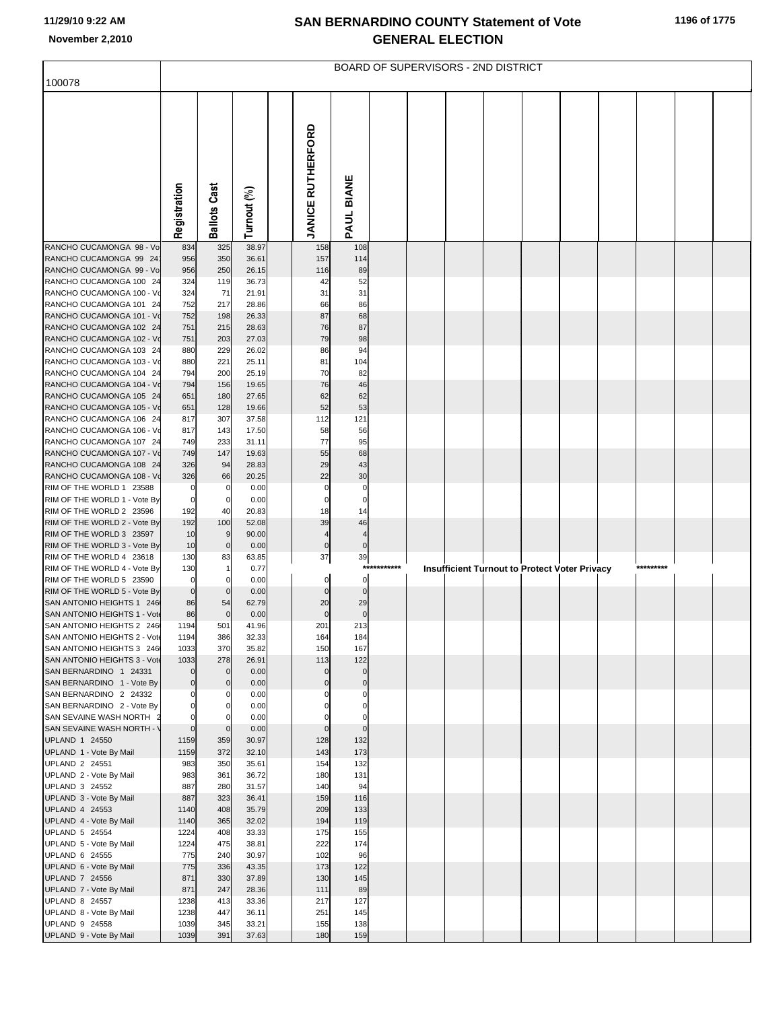|                                                           |                            |                     |                |                          |                            |          | <b>BOARD OF SUPERVISORS - 2ND DISTRICT</b> |  |                                                      |  |           |  |
|-----------------------------------------------------------|----------------------------|---------------------|----------------|--------------------------|----------------------------|----------|--------------------------------------------|--|------------------------------------------------------|--|-----------|--|
| 100078                                                    |                            |                     |                |                          |                            |          |                                            |  |                                                      |  |           |  |
|                                                           | Registration               | <b>Ballots Cast</b> | Turnout (%)    | <b>JANICE RUTHERFORD</b> | PAUL BIANE                 |          |                                            |  |                                                      |  |           |  |
| RANCHO CUCAMONGA 98 - Vo                                  | 834                        | 325                 | 38.97          | 158                      | 108                        |          |                                            |  |                                                      |  |           |  |
| RANCHO CUCAMONGA 99 24<br>RANCHO CUCAMONGA 99 - Vo        | 956<br>956                 | 350<br>250          | 36.61<br>26.15 | 157<br>116               | 114<br>89                  |          |                                            |  |                                                      |  |           |  |
| RANCHO CUCAMONGA 100 24                                   | 324                        | 119                 | 36.73          | 42                       | 52                         |          |                                            |  |                                                      |  |           |  |
| RANCHO CUCAMONGA 100 - Vo                                 | 324                        | 71                  | 21.91          | 31                       | 31                         |          |                                            |  |                                                      |  |           |  |
| RANCHO CUCAMONGA 101 24                                   | 752                        | 217                 | 28.86          | 66                       | 86                         |          |                                            |  |                                                      |  |           |  |
| RANCHO CUCAMONGA 101 - Vo                                 | 752                        | 198                 | 26.33          | 87                       | 68                         |          |                                            |  |                                                      |  |           |  |
| RANCHO CUCAMONGA 102 24<br>RANCHO CUCAMONGA 102 - Vo      | 751<br>751                 | 215<br>203          | 28.63<br>27.03 | 76<br>79                 | 87<br>98                   |          |                                            |  |                                                      |  |           |  |
| RANCHO CUCAMONGA 103 24                                   | 880                        | 229                 | 26.02          | 86                       | 94                         |          |                                            |  |                                                      |  |           |  |
| RANCHO CUCAMONGA 103 - Vo                                 | 880                        | 221                 | 25.11          | 81                       | 104                        |          |                                            |  |                                                      |  |           |  |
| RANCHO CUCAMONGA 104 24                                   | 794                        | 200                 | 25.19          | 70                       | 82                         |          |                                            |  |                                                      |  |           |  |
| RANCHO CUCAMONGA 104 - Vo                                 | 794                        | 156                 | 19.65          | 76                       | 46                         |          |                                            |  |                                                      |  |           |  |
| RANCHO CUCAMONGA 105 24<br>RANCHO CUCAMONGA 105 - Vo      | 651<br>651                 | 180<br>128          | 27.65<br>19.66 | 62<br>52                 | 62<br>53                   |          |                                            |  |                                                      |  |           |  |
| RANCHO CUCAMONGA 106 24                                   | 817                        | 307                 | 37.58          | 112                      | 121                        |          |                                            |  |                                                      |  |           |  |
| RANCHO CUCAMONGA 106 - Vo                                 | 817                        | 143                 | 17.50          | 58                       | 56                         |          |                                            |  |                                                      |  |           |  |
| RANCHO CUCAMONGA 107 24                                   | 749                        | 233                 | 31.11          | 77                       | 95                         |          |                                            |  |                                                      |  |           |  |
| RANCHO CUCAMONGA 107 - Vo                                 | 749                        | 147                 | 19.63          | 55                       | 68                         |          |                                            |  |                                                      |  |           |  |
| RANCHO CUCAMONGA 108 24<br>RANCHO CUCAMONGA 108 - Vo      | 326<br>326                 | 94<br>66            | 28.83<br>20.25 | 29<br>22                 | 43<br>30                   |          |                                            |  |                                                      |  |           |  |
| RIM OF THE WORLD 1 23588                                  | 0                          | 0                   | 0.00           | $\mathbf 0$              | $\mathsf{C}$               |          |                                            |  |                                                      |  |           |  |
| RIM OF THE WORLD 1 - Vote By                              | $\mathbf 0$                | 0                   | 0.00           | $\mathbf 0$              | $\mathbf 0$                |          |                                            |  |                                                      |  |           |  |
| RIM OF THE WORLD 2 23596                                  | 192                        | 40                  | 20.83          | 18                       | 14                         |          |                                            |  |                                                      |  |           |  |
| RIM OF THE WORLD 2 - Vote By<br>RIM OF THE WORLD 3 23597  | 192<br>10                  | 100<br>9            | 52.08<br>90.00 | 39<br>$\overline{4}$     | 46<br>$\overline{4}$       |          |                                            |  |                                                      |  |           |  |
| RIM OF THE WORLD 3 - Vote By                              | 10                         | $\mathbf 0$         | 0.00           | $\pmb{0}$                | $\pmb{0}$                  |          |                                            |  |                                                      |  |           |  |
| RIM OF THE WORLD 4 23618                                  | 130                        | 83                  | 63.85          | 37                       | 39                         |          |                                            |  |                                                      |  |           |  |
| RIM OF THE WORLD 4 - Vote By                              | 130                        |                     | 0.77           |                          | ***                        | ******** |                                            |  | <b>Insufficient Turnout to Protect Voter Privacy</b> |  | ********* |  |
| RIM OF THE WORLD 5 23590                                  | $\mathbf 0$                |                     | 0.00           | $\mathbf 0$              | $\Omega$                   |          |                                            |  |                                                      |  |           |  |
| RIM OF THE WORLD 5 - Vote By<br>SAN ANTONIO HEIGHTS 1 246 | $\mathbf 0$<br>86          | $\mathbf 0$<br>54   | 0.00<br>62.79  | $\mathbf 0$<br>20        | $\Omega$<br>29             |          |                                            |  |                                                      |  |           |  |
| SAN ANTONIO HEIGHTS 1 - Vote                              | 86                         | $\mathbf 0$         | 0.00           |                          | $\mathbf 0$                |          |                                            |  |                                                      |  |           |  |
| SAN ANTONIO HEIGHTS 2 246                                 | 1194                       | 501                 | 41.96          | 201                      | 213                        |          |                                            |  |                                                      |  |           |  |
| SAN ANTONIO HEIGHTS 2 - Vote                              | 1194                       | 386                 | 32.33          | 164                      | 184                        |          |                                            |  |                                                      |  |           |  |
| SAN ANTONIO HEIGHTS 3 246<br>SAN ANTONIO HEIGHTS 3 - Vote | 1033<br>1033               | 370<br>278          | 35.82<br>26.91 | 150<br>113               | 167<br>122                 |          |                                            |  |                                                      |  |           |  |
| SAN BERNARDINO 1 24331                                    | $\mathbf 0$                | $\mathbf 0$         | 0.00           | $\mathbf 0$              | $\mathbf 0$                |          |                                            |  |                                                      |  |           |  |
| SAN BERNARDINO 1 - Vote By                                | $\mathbf 0$                | $\Omega$            | 0.00           | $\mathbf 0$              | $\pmb{0}$                  |          |                                            |  |                                                      |  |           |  |
| SAN BERNARDINO 2 24332                                    | $\mathbf 0$                | 0                   | 0.00           | 0                        | $\mathbf 0$                |          |                                            |  |                                                      |  |           |  |
| SAN BERNARDINO 2 - Vote By<br>SAN SEVAINE WASH NORTH 2    | $\mathbf 0$<br>$\mathbf 0$ |                     | 0.00<br>0.00   |                          | $\mathbf 0$<br>$\mathbf 0$ |          |                                            |  |                                                      |  |           |  |
| SAN SEVAINE WASH NORTH - \                                | $\overline{0}$             | $\mathbf 0$         | 0.00           | $\mathbf 0$              | $\mathbf 0$                |          |                                            |  |                                                      |  |           |  |
| UPLAND 1 24550                                            | 1159                       | 359                 | 30.97          | 128                      | 132                        |          |                                            |  |                                                      |  |           |  |
| UPLAND 1 - Vote By Mail                                   | 1159                       | 372                 | 32.10          | 143                      | 173                        |          |                                            |  |                                                      |  |           |  |
| UPLAND 2 24551                                            | 983                        | 350                 | 35.61          | 154                      | 132                        |          |                                            |  |                                                      |  |           |  |
| UPLAND 2 - Vote By Mail<br>UPLAND 3 24552                 | 983<br>887                 | 361<br>280          | 36.72<br>31.57 | 180<br>140               | 131<br>94                  |          |                                            |  |                                                      |  |           |  |
| UPLAND 3 - Vote By Mail                                   | 887                        | 323                 | 36.41          | 159                      | 116                        |          |                                            |  |                                                      |  |           |  |
| UPLAND 4 24553                                            | 1140                       | 408                 | 35.79          | 209                      | 133                        |          |                                            |  |                                                      |  |           |  |
| UPLAND 4 - Vote By Mail                                   | 1140                       | 365                 | 32.02          | 194                      | 119                        |          |                                            |  |                                                      |  |           |  |
| UPLAND 5 24554                                            | 1224                       | 408                 | 33.33          | 175                      | 155                        |          |                                            |  |                                                      |  |           |  |
| UPLAND 5 - Vote By Mail<br>UPLAND 6 24555                 | 1224<br>775                | 475<br>240          | 38.81<br>30.97 | 222<br>102               | 174<br>96                  |          |                                            |  |                                                      |  |           |  |
| UPLAND 6 - Vote By Mail                                   | 775                        | 336                 | 43.35          | 173                      | 122                        |          |                                            |  |                                                      |  |           |  |
| UPLAND 7 24556                                            | 871                        | 330                 | 37.89          | 130                      | 145                        |          |                                            |  |                                                      |  |           |  |
| UPLAND 7 - Vote By Mail                                   | 871                        | 247                 | 28.36          | 111                      | 89                         |          |                                            |  |                                                      |  |           |  |
| UPLAND 8 24557                                            | 1238                       | 413                 | 33.36          | 217                      | 127                        |          |                                            |  |                                                      |  |           |  |
| UPLAND 8 - Vote By Mail<br>UPLAND 9 24558                 | 1238<br>1039               | 447<br>345          | 36.11<br>33.21 | 251<br>155               | 145<br>138                 |          |                                            |  |                                                      |  |           |  |
| UPLAND 9 - Vote By Mail                                   | 1039                       | 391                 | 37.63          | 180                      | 159                        |          |                                            |  |                                                      |  |           |  |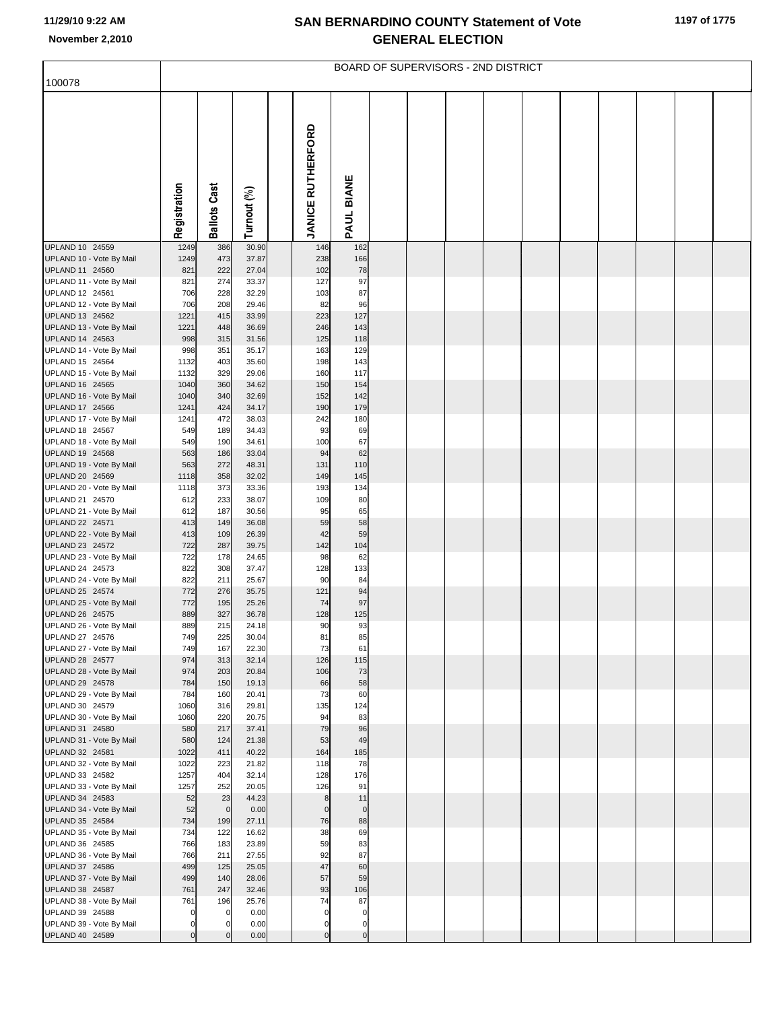|                                             |              |                     |                |                          |             | <b>BOARD OF SUPERVISORS - 2ND DISTRICT</b> |  |  |  |  |
|---------------------------------------------|--------------|---------------------|----------------|--------------------------|-------------|--------------------------------------------|--|--|--|--|
| 100078                                      |              |                     |                |                          |             |                                            |  |  |  |  |
|                                             | Registration | <b>Ballots Cast</b> | Turnout (%)    | <b>JANICE RUTHERFORD</b> | PAUL BIANE  |                                            |  |  |  |  |
| UPLAND 10 24559                             | 1249         | 386                 | 30.90          | 146                      | 162         |                                            |  |  |  |  |
| UPLAND 10 - Vote By Mail                    | 1249         | 473                 | 37.87          | 238                      | 166         |                                            |  |  |  |  |
| UPLAND 11 24560                             | 821          | 222                 | 27.04          | 102                      | 78          |                                            |  |  |  |  |
| UPLAND 11 - Vote By Mail                    | 821          | 274                 | 33.37          | 127                      | 97          |                                            |  |  |  |  |
| UPLAND 12 24561<br>UPLAND 12 - Vote By Mail | 706<br>706   | 228<br>208          | 32.29<br>29.46 | 103<br>82                | 87<br>96    |                                            |  |  |  |  |
| UPLAND 13 24562                             | 1221         | 415                 | 33.99          | 223                      | 127         |                                            |  |  |  |  |
| UPLAND 13 - Vote By Mail                    | 1221         | 448                 | 36.69          | 246                      | 143         |                                            |  |  |  |  |
| UPLAND 14 24563                             | 998          | 315                 | 31.56          | 125                      | 118         |                                            |  |  |  |  |
| UPLAND 14 - Vote By Mail                    | 998          | 351                 | 35.17          | 163                      | 129         |                                            |  |  |  |  |
| UPLAND 15 24564<br>UPLAND 15 - Vote By Mail | 1132<br>1132 | 403<br>329          | 35.60<br>29.06 | 198<br>160               | 143<br>117  |                                            |  |  |  |  |
| UPLAND 16 24565                             | 1040         | 360                 | 34.62          | 150                      | 154         |                                            |  |  |  |  |
| UPLAND 16 - Vote By Mail                    | 1040         | 340                 | 32.69          | 152                      | 142         |                                            |  |  |  |  |
| UPLAND 17 24566                             | 1241         | 424                 | 34.17          | 190                      | 179         |                                            |  |  |  |  |
| UPLAND 17 - Vote By Mail                    | 1241         | 472                 | 38.03          | 242                      | 180         |                                            |  |  |  |  |
| UPLAND 18 24567<br>UPLAND 18 - Vote By Mail | 549<br>549   | 189<br>190          | 34.43<br>34.61 | 93<br>100                | 69<br>67    |                                            |  |  |  |  |
| UPLAND 19 24568                             | 563          | 186                 | 33.04          | 94                       | 62          |                                            |  |  |  |  |
| UPLAND 19 - Vote By Mail                    | 563          | 272                 | 48.31          | 131                      | 110         |                                            |  |  |  |  |
| UPLAND 20 24569                             | 1118         | 358                 | 32.02          | 149                      | 145         |                                            |  |  |  |  |
| UPLAND 20 - Vote By Mail                    | 1118         | 373                 | 33.36          | 193                      | 134         |                                            |  |  |  |  |
| UPLAND 21 24570<br>UPLAND 21 - Vote By Mail | 612<br>612   | 233<br>187          | 38.07<br>30.56 | 109<br>95                | 80<br>65    |                                            |  |  |  |  |
| UPLAND 22 24571                             | 413          | 149                 | 36.08          | 59                       | 58          |                                            |  |  |  |  |
| UPLAND 22 - Vote By Mail                    | 413          | 109                 | 26.39          | 42                       | 59          |                                            |  |  |  |  |
| UPLAND 23 24572                             | 722          | 287                 | 39.75          | 142                      | 104         |                                            |  |  |  |  |
| UPLAND 23 - Vote By Mail<br>UPLAND 24 24573 | 722<br>822   | 178<br>308          | 24.65<br>37.47 | 98<br>128                | 62<br>133   |                                            |  |  |  |  |
| UPLAND 24 - Vote By Mail                    | 822          | 211                 | 25.67          | 90                       | 84          |                                            |  |  |  |  |
| UPLAND 25 24574                             | 772          | 276                 | 35.75          | 121                      | 94          |                                            |  |  |  |  |
| UPLAND 25 - Vote By Mail                    | 772          | 195                 | 25.26          | 74                       | 97          |                                            |  |  |  |  |
| UPLAND 26 24575                             | 889          | 327                 | 36.78          | 128                      | 125         |                                            |  |  |  |  |
| UPLAND 26 - Vote By Mail<br>UPLAND 27 24576 | 889<br>749   | 215<br>225          | 24.18<br>30.04 | 90<br>81                 | 93<br>85    |                                            |  |  |  |  |
| UPLAND 27 - Vote By Mail                    | 749          | 167                 | 22.30          | 73                       | 61          |                                            |  |  |  |  |
| UPLAND 28 24577                             | 974          | 313                 | 32.14          | 126                      | 115         |                                            |  |  |  |  |
| UPLAND 28 - Vote By Mail                    | 974          | 203                 | 20.84          | 106                      | 73          |                                            |  |  |  |  |
| UPLAND 29 24578<br>UPLAND 29 - Vote By Mail | 784<br>784   | 150<br>160          | 19.13<br>20.41 | 66<br>73                 | 58<br>60    |                                            |  |  |  |  |
| UPLAND 30 24579                             | 1060         | 316                 | 29.81          | 135                      | 124         |                                            |  |  |  |  |
| UPLAND 30 - Vote By Mail                    | 1060         | 220                 | 20.75          | 94                       | 83          |                                            |  |  |  |  |
| UPLAND 31 24580                             | 580          | 217                 | 37.41          | 79                       | 96          |                                            |  |  |  |  |
| UPLAND 31 - Vote By Mail                    | 580          | 124                 | 21.38          | 53                       | 49          |                                            |  |  |  |  |
| UPLAND 32 24581<br>UPLAND 32 - Vote By Mail | 1022<br>1022 | 411<br>223          | 40.22<br>21.82 | 164<br>118               | 185<br>78   |                                            |  |  |  |  |
| UPLAND 33 24582                             | 1257         | 404                 | 32.14          | 128                      | 176         |                                            |  |  |  |  |
| UPLAND 33 - Vote By Mail                    | 1257         | 252                 | 20.05          | 126                      | 91          |                                            |  |  |  |  |
| UPLAND 34 24583                             | 52           | 23                  | 44.23          | $\bf8$                   | 11          |                                            |  |  |  |  |
| UPLAND 34 - Vote By Mail                    | 52           | $\mathbf 0$         | 0.00           | $\mathbf 0$              | $\mathbf 0$ |                                            |  |  |  |  |
| UPLAND 35 24584<br>UPLAND 35 - Vote By Mail | 734<br>734   | 199<br>122          | 27.11<br>16.62 | 76<br>38                 | 88<br>69    |                                            |  |  |  |  |
| UPLAND 36 24585                             | 766          | 183                 | 23.89          | 59                       | 83          |                                            |  |  |  |  |
| UPLAND 36 - Vote By Mail                    | 766          | 211                 | 27.55          | 92                       | 87          |                                            |  |  |  |  |
| UPLAND 37 24586                             | 499          | 125                 | 25.05          | 47                       | 60          |                                            |  |  |  |  |
| UPLAND 37 - Vote By Mail                    | 499          | 140                 | 28.06          | 57                       | 59          |                                            |  |  |  |  |
| UPLAND 38 24587<br>UPLAND 38 - Vote By Mail | 761<br>761   | 247<br>196          | 32.46<br>25.76 | 93<br>74                 | 106<br>87   |                                            |  |  |  |  |
| UPLAND 39 24588                             | $\mathbf 0$  | $\Omega$            | 0.00           | $\mathbf 0$              | $\mathbf 0$ |                                            |  |  |  |  |
| UPLAND 39 - Vote By Mail                    | 0            | $\Omega$            | 0.00           | $\mathbf 0$              | $\mathbf 0$ |                                            |  |  |  |  |
| UPLAND 40 24589                             | $\mathbf 0$  |                     | 0.00           | $\Omega$                 | $\mathbf 0$ |                                            |  |  |  |  |